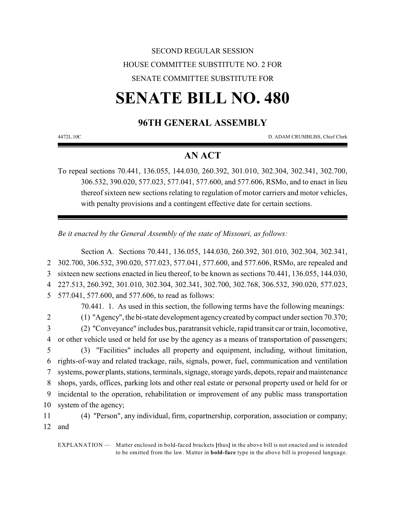## SECOND REGULAR SESSION HOUSE COMMITTEE SUBSTITUTE NO. 2 FOR SENATE COMMITTEE SUBSTITUTE FOR

# **SENATE BILL NO. 480**

### **96TH GENERAL ASSEMBLY**

4472L.10C D. ADAM CRUMBLISS, Chief Clerk

### **AN ACT**

To repeal sections 70.441, 136.055, 144.030, 260.392, 301.010, 302.304, 302.341, 302.700, 306.532, 390.020, 577.023, 577.041, 577.600, and 577.606, RSMo, and to enact in lieu thereof sixteen new sections relating to regulation of motor carriers and motor vehicles, with penalty provisions and a contingent effective date for certain sections.

*Be it enacted by the General Assembly of the state of Missouri, as follows:*

Section A. Sections 70.441, 136.055, 144.030, 260.392, 301.010, 302.304, 302.341, 302.700, 306.532, 390.020, 577.023, 577.041, 577.600, and 577.606, RSMo, are repealed and sixteen new sections enacted in lieu thereof, to be known as sections 70.441, 136.055, 144.030, 227.513, 260.392, 301.010, 302.304, 302.341, 302.700, 302.768, 306.532, 390.020, 577.023, 577.041, 577.600, and 577.606, to read as follows: 70.441. 1. As used in this section, the following terms have the following meanings: (1) "Agency", the bi-state development agency created by compact under section 70.370; (2) "Conveyance" includes bus, paratransit vehicle, rapid transit car or train, locomotive, or other vehicle used or held for use by the agency as a means of transportation of passengers; (3) "Facilities" includes all property and equipment, including, without limitation, rights-of-way and related trackage, rails, signals, power, fuel, communication and ventilation systems, power plants, stations, terminals, signage, storage yards, depots, repair and maintenance shops, yards, offices, parking lots and other real estate or personal property used or held for or incidental to the operation, rehabilitation or improvement of any public mass transportation system of the agency; (4) "Person", any individual, firm, copartnership, corporation, association or company; 12 and

EXPLANATION — Matter enclosed in bold-faced brackets **[**thus**]** in the above bill is not enacted and is intended to be omitted from the law. Matter in **bold-face** type in the above bill is proposed language.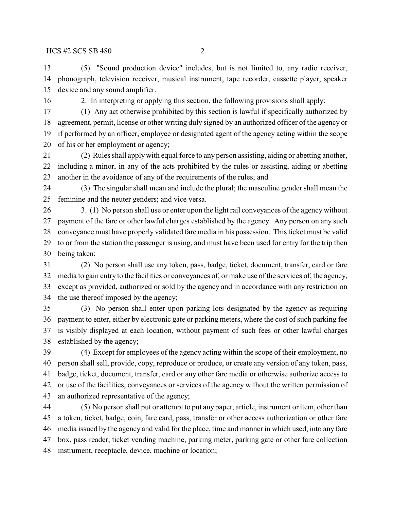(5) "Sound production device" includes, but is not limited to, any radio receiver, phonograph, television receiver, musical instrument, tape recorder, cassette player, speaker device and any sound amplifier.

2. In interpreting or applying this section, the following provisions shall apply:

 (1) Any act otherwise prohibited by this section is lawful if specifically authorized by agreement, permit, license or other writing duly signed by an authorized officer of the agency or if performed by an officer, employee or designated agent of the agency acting within the scope of his or her employment or agency;

 (2) Rules shall applywith equal force to any person assisting, aiding or abetting another, including a minor, in any of the acts prohibited by the rules or assisting, aiding or abetting another in the avoidance of any of the requirements of the rules; and

 (3) The singular shall mean and include the plural; the masculine gender shall mean the feminine and the neuter genders; and vice versa.

26 3. (1) No person shall use or enter upon the light rail conveyances of the agency without payment of the fare or other lawful charges established by the agency. Any person on any such conveyance must have properly validated fare media in his possession. This ticket must be valid to or from the station the passenger is using, and must have been used for entry for the trip then being taken;

 (2) No person shall use any token, pass, badge, ticket, document, transfer, card or fare media to gain entry to the facilities or conveyances of, or make use of the services of, the agency, except as provided, authorized or sold by the agency and in accordance with any restriction on the use thereof imposed by the agency;

 (3) No person shall enter upon parking lots designated by the agency as requiring payment to enter, either by electronic gate or parking meters, where the cost of such parking fee is visibly displayed at each location, without payment of such fees or other lawful charges established by the agency;

 (4) Except for employees of the agency acting within the scope of their employment, no person shall sell, provide, copy, reproduce or produce, or create any version of any token, pass, badge, ticket, document, transfer, card or any other fare media or otherwise authorize access to or use of the facilities, conveyances or services of the agency without the written permission of an authorized representative of the agency;

 (5) No person shall put or attempt to put any paper, article, instrument or item, other than a token, ticket, badge, coin, fare card, pass, transfer or other access authorization or other fare media issued by the agency and valid for the place, time and manner in which used, into any fare box, pass reader, ticket vending machine, parking meter, parking gate or other fare collection instrument, receptacle, device, machine or location;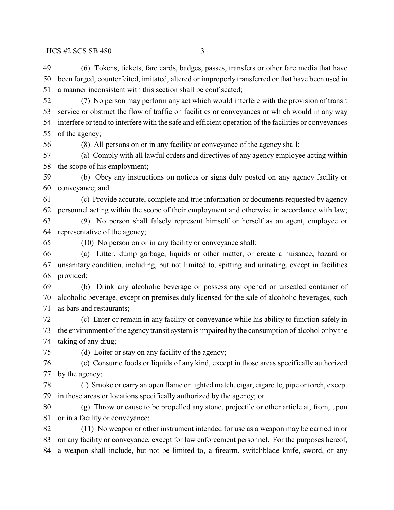(6) Tokens, tickets, fare cards, badges, passes, transfers or other fare media that have been forged, counterfeited, imitated, altered or improperly transferred or that have been used in a manner inconsistent with this section shall be confiscated;

 (7) No person may perform any act which would interfere with the provision of transit service or obstruct the flow of traffic on facilities or conveyances or which would in any way interfere or tend to interfere with the safe and efficient operation of the facilities or conveyances of the agency;

(8) All persons on or in any facility or conveyance of the agency shall:

 (a) Comply with all lawful orders and directives of any agency employee acting within the scope of his employment;

 (b) Obey any instructions on notices or signs duly posted on any agency facility or conveyance; and

 (c) Provide accurate, complete and true information or documents requested by agency personnel acting within the scope of their employment and otherwise in accordance with law;

 (9) No person shall falsely represent himself or herself as an agent, employee or representative of the agency;

(10) No person on or in any facility or conveyance shall:

 (a) Litter, dump garbage, liquids or other matter, or create a nuisance, hazard or unsanitary condition, including, but not limited to, spitting and urinating, except in facilities provided;

 (b) Drink any alcoholic beverage or possess any opened or unsealed container of alcoholic beverage, except on premises duly licensed for the sale of alcoholic beverages, such as bars and restaurants;

 (c) Enter or remain in any facility or conveyance while his ability to function safely in the environment of the agency transit system is impaired by the consumption of alcohol or by the taking of any drug;

(d) Loiter or stay on any facility of the agency;

 (e) Consume foods or liquids of any kind, except in those areas specifically authorized by the agency;

 (f) Smoke or carry an open flame or lighted match, cigar, cigarette, pipe or torch, except in those areas or locations specifically authorized by the agency; or

 (g) Throw or cause to be propelled any stone, projectile or other article at, from, upon or in a facility or conveyance;

 (11) No weapon or other instrument intended for use as a weapon may be carried in or on any facility or conveyance, except for law enforcement personnel. For the purposes hereof, a weapon shall include, but not be limited to, a firearm, switchblade knife, sword, or any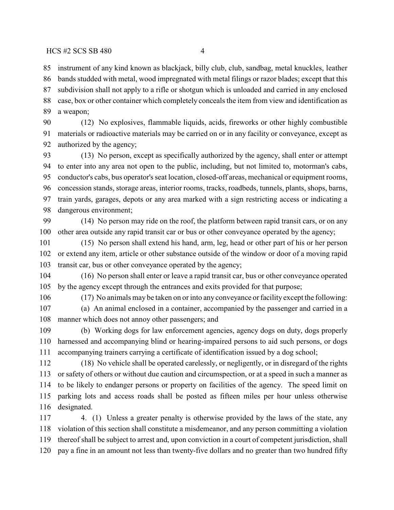$HCS \sharp 2 \; SCS \; SB \; 480$  4

 instrument of any kind known as blackjack, billy club, club, sandbag, metal knuckles, leather bands studded with metal, wood impregnated with metal filings or razor blades; except that this subdivision shall not apply to a rifle or shotgun which is unloaded and carried in any enclosed case, box or other container which completely conceals the item from view and identification as a weapon;

 (12) No explosives, flammable liquids, acids, fireworks or other highly combustible materials or radioactive materials may be carried on or in any facility or conveyance, except as authorized by the agency;

 (13) No person, except as specifically authorized by the agency, shall enter or attempt to enter into any area not open to the public, including, but not limited to, motorman's cabs, conductor's cabs, bus operator's seat location, closed-off areas, mechanical or equipment rooms, concession stands, storage areas, interior rooms, tracks, roadbeds, tunnels, plants, shops, barns, train yards, garages, depots or any area marked with a sign restricting access or indicating a dangerous environment;

 (14) No person may ride on the roof, the platform between rapid transit cars, or on any other area outside any rapid transit car or bus or other conveyance operated by the agency;

 (15) No person shall extend his hand, arm, leg, head or other part of his or her person or extend any item, article or other substance outside of the window or door of a moving rapid transit car, bus or other conveyance operated by the agency;

 (16) No person shall enter or leave a rapid transit car, bus or other conveyance operated by the agency except through the entrances and exits provided for that purpose;

(17) No animals may be taken on or into any conveyance or facility except the following:

 (a) An animal enclosed in a container, accompanied by the passenger and carried in a manner which does not annoy other passengers; and

 (b) Working dogs for law enforcement agencies, agency dogs on duty, dogs properly harnessed and accompanying blind or hearing-impaired persons to aid such persons, or dogs accompanying trainers carrying a certificate of identification issued by a dog school;

 (18) No vehicle shall be operated carelessly, or negligently, or in disregard of the rights or safety of others or without due caution and circumspection, or at a speed in such a manner as to be likely to endanger persons or property on facilities of the agency. The speed limit on parking lots and access roads shall be posted as fifteen miles per hour unless otherwise designated.

 4. (1) Unless a greater penalty is otherwise provided by the laws of the state, any violation of this section shall constitute a misdemeanor, and any person committing a violation thereof shall be subject to arrest and, upon conviction in a court of competent jurisdiction, shall pay a fine in an amount not less than twenty-five dollars and no greater than two hundred fifty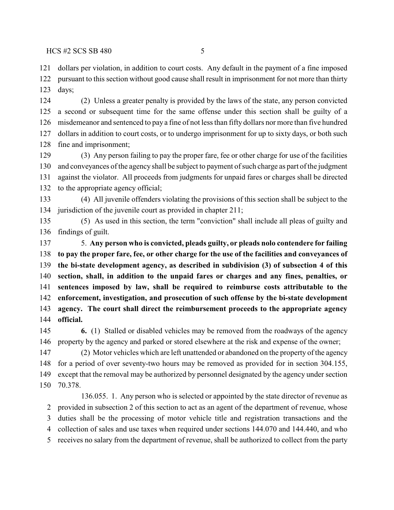dollars per violation, in addition to court costs. Any default in the payment of a fine imposed pursuant to this section without good cause shall result in imprisonment for not more than thirty days;

 (2) Unless a greater penalty is provided by the laws of the state, any person convicted a second or subsequent time for the same offense under this section shall be guilty of a misdemeanor and sentenced to pay a fine of not less than fifty dollars nor more than five hundred dollars in addition to court costs, or to undergo imprisonment for up to sixty days, or both such fine and imprisonment;

 (3) Any person failing to pay the proper fare, fee or other charge for use of the facilities 130 and conveyances of the agency shall be subject to payment of such charge as part of the judgment against the violator. All proceeds from judgments for unpaid fares or charges shall be directed to the appropriate agency official;

 (4) All juvenile offenders violating the provisions of this section shall be subject to the jurisdiction of the juvenile court as provided in chapter 211;

 (5) As used in this section, the term "conviction" shall include all pleas of guilty and findings of guilt.

 5. **Any person who is convicted, pleads guilty, or pleads nolo contendere for failing to pay the proper fare, fee, or other charge for the use of the facilities and conveyances of the bi-state development agency, as described in subdivision (3) of subsection 4 of this section, shall, in addition to the unpaid fares or charges and any fines, penalties, or sentences imposed by law, shall be required to reimburse costs attributable to the enforcement, investigation, and prosecution of such offense by the bi-state development agency. The court shall direct the reimbursement proceeds to the appropriate agency official.**

 **6.** (1) Stalled or disabled vehicles may be removed from the roadways of the agency property by the agency and parked or stored elsewhere at the risk and expense of the owner;

 (2) Motor vehicles which are left unattended or abandoned on the property of the agency for a period of over seventy-two hours may be removed as provided for in section 304.155, except that the removal may be authorized by personnel designated by the agency under section 70.378.

136.055. 1. Any person who is selected or appointed by the state director of revenue as provided in subsection 2 of this section to act as an agent of the department of revenue, whose duties shall be the processing of motor vehicle title and registration transactions and the collection of sales and use taxes when required under sections 144.070 and 144.440, and who receives no salary from the department of revenue, shall be authorized to collect from the party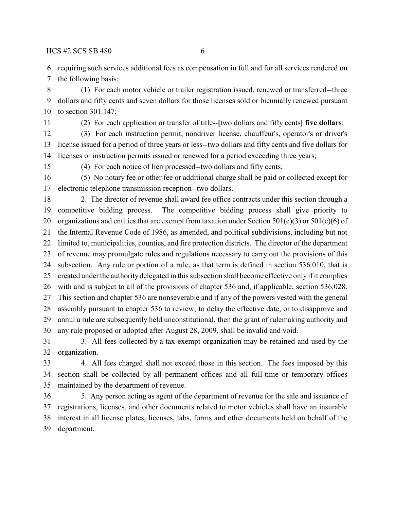$HCS \sharp 2 \; SCS \; SB \; 480$  6

requiring such services additional fees as compensation in full and for all services rendered on

the following basis:

 (1) For each motor vehicle or trailer registration issued, renewed or transferred--three dollars and fifty cents and seven dollars for those licenses sold or biennially renewed pursuant to section 301.147;

(2) For each application or transfer of title--**[**two dollars and fifty cents**] five dollars**;

 (3) For each instruction permit, nondriver license, chauffeur's, operator's or driver's license issued for a period of three years or less--two dollars and fifty cents and five dollars for licenses or instruction permits issued or renewed for a period exceeding three years;

(4) For each notice of lien processed--two dollars and fifty cents;

 (5) No notary fee or other fee or additional charge shall be paid or collected except for electronic telephone transmission reception--two dollars.

 2. The director of revenue shall award fee office contracts under this section through a competitive bidding process. The competitive bidding process shall give priority to 20 organizations and entities that are exempt from taxation under Section  $501(c)(3)$  or  $501(c)(6)$  of the Internal Revenue Code of 1986, as amended, and political subdivisions, including but not limited to, municipalities, counties, and fire protection districts. The director of the department of revenue may promulgate rules and regulations necessary to carry out the provisions of this subsection. Any rule or portion of a rule, as that term is defined in section 536.010, that is created under the authority delegated in this subsection shall become effective only if it complies with and is subject to all of the provisions of chapter 536 and, if applicable, section 536.028. This section and chapter 536 are nonseverable and if any of the powers vested with the general assembly pursuant to chapter 536 to review, to delay the effective date, or to disapprove and annul a rule are subsequently held unconstitutional, then the grant of rulemaking authority and any rule proposed or adopted after August 28, 2009, shall be invalid and void.

 3. All fees collected by a tax-exempt organization may be retained and used by the organization.

 4. All fees charged shall not exceed those in this section. The fees imposed by this section shall be collected by all permanent offices and all full-time or temporary offices maintained by the department of revenue.

 5. Any person acting as agent of the department of revenue for the sale and issuance of registrations, licenses, and other documents related to motor vehicles shall have an insurable interest in all license plates, licenses, tabs, forms and other documents held on behalf of the department.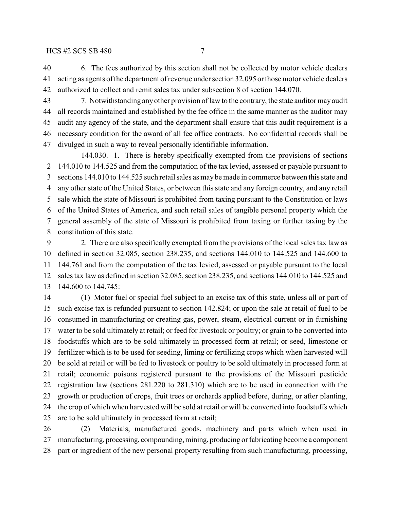6. The fees authorized by this section shall not be collected by motor vehicle dealers acting as agents ofthe department ofrevenue under section 32.095 orthosemotor vehicle dealers authorized to collect and remit sales tax under subsection 8 of section 144.070.

 7. Notwithstanding anyother provision oflaw to the contrary, the state auditor may audit all records maintained and established by the fee office in the same manner as the auditor may audit any agency of the state, and the department shall ensure that this audit requirement is a necessary condition for the award of all fee office contracts. No confidential records shall be divulged in such a way to reveal personally identifiable information.

144.030. 1. There is hereby specifically exempted from the provisions of sections 144.010 to 144.525 and from the computation of the tax levied, assessed or payable pursuant to sections 144.010 to 144.525 such retail sales as may be made in commerce between this state and any other state of the United States, or between this state and any foreign country, and any retail sale which the state of Missouri is prohibited from taxing pursuant to the Constitution or laws of the United States of America, and such retail sales of tangible personal property which the general assembly of the state of Missouri is prohibited from taxing or further taxing by the constitution of this state.

 2. There are also specifically exempted from the provisions of the local sales tax law as defined in section 32.085, section 238.235, and sections 144.010 to 144.525 and 144.600 to 144.761 and from the computation of the tax levied, assessed or payable pursuant to the local sales tax law as defined in section 32.085, section 238.235, and sections 144.010 to 144.525 and 144.600 to 144.745:

 (1) Motor fuel or special fuel subject to an excise tax of this state, unless all or part of such excise tax is refunded pursuant to section 142.824; or upon the sale at retail of fuel to be consumed in manufacturing or creating gas, power, steam, electrical current or in furnishing water to be sold ultimately at retail; or feed for livestock or poultry; or grain to be converted into foodstuffs which are to be sold ultimately in processed form at retail; or seed, limestone or fertilizer which is to be used for seeding, liming or fertilizing crops which when harvested will be sold at retail or will be fed to livestock or poultry to be sold ultimately in processed form at retail; economic poisons registered pursuant to the provisions of the Missouri pesticide registration law (sections 281.220 to 281.310) which are to be used in connection with the growth or production of crops, fruit trees or orchards applied before, during, or after planting, the crop of which when harvested will be sold at retail or will be converted into foodstuffs which are to be sold ultimately in processed form at retail;

 (2) Materials, manufactured goods, machinery and parts which when used in manufacturing, processing, compounding, mining, producing or fabricating become a component part or ingredient of the new personal property resulting from such manufacturing, processing,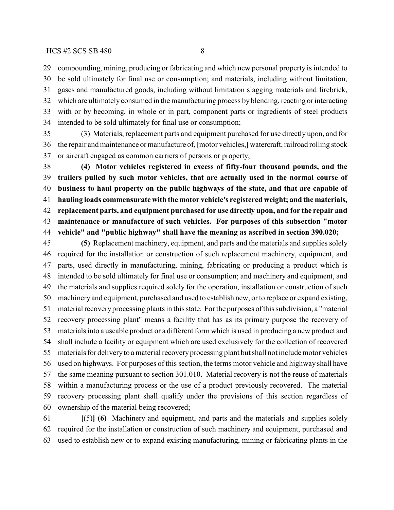### $HCS \sharp 2 \; SCS \; SB \; 480$  8

 compounding, mining, producing or fabricating and which new personal property is intended to be sold ultimately for final use or consumption; and materials, including without limitation, gases and manufactured goods, including without limitation slagging materials and firebrick, which are ultimately consumed in the manufacturing process by blending, reacting or interacting with or by becoming, in whole or in part, component parts or ingredients of steel products intended to be sold ultimately for final use or consumption;

 (3) Materials, replacement parts and equipment purchased for use directly upon, and for the repair and maintenance or manufacture of, **[**motor vehicles,**]** watercraft, railroad rolling stock or aircraft engaged as common carriers of persons or property;

 **(4) Motor vehicles registered in excess of fifty-four thousand pounds, and the trailers pulled by such motor vehicles, that are actually used in the normal course of business to haul property on the public highways of the state, and that are capable of hauling loads commensurate with the motor vehicle's registered weight; and the materials, replacement parts, and equipment purchased for use directly upon, and for the repair and maintenance or manufacture of such vehicles. For purposes of this subsection "motor vehicle" and "public highway" shall have the meaning as ascribed in section 390.020;**

 **(5)** Replacement machinery, equipment, and parts and the materials and supplies solely required for the installation or construction of such replacement machinery, equipment, and parts, used directly in manufacturing, mining, fabricating or producing a product which is intended to be sold ultimately for final use or consumption; and machinery and equipment, and the materials and supplies required solely for the operation, installation or construction of such machinery and equipment, purchased and used to establish new, or to replace or expand existing, material recovery processing plants in this state. Forthe purposes of this subdivision, a "material recovery processing plant" means a facility that has as its primary purpose the recovery of materials into a useable product or a different form which is used in producing a new product and shall include a facility or equipment which are used exclusively for the collection of recovered materials for deliveryto a material recoveryprocessing plant butshall not include motor vehicles used on highways. For purposes of this section, the terms motor vehicle and highway shall have the same meaning pursuant to section 301.010. Material recovery is not the reuse of materials within a manufacturing process or the use of a product previously recovered. The material recovery processing plant shall qualify under the provisions of this section regardless of ownership of the material being recovered;

 **[**(5)**] (6)** Machinery and equipment, and parts and the materials and supplies solely required for the installation or construction of such machinery and equipment, purchased and used to establish new or to expand existing manufacturing, mining or fabricating plants in the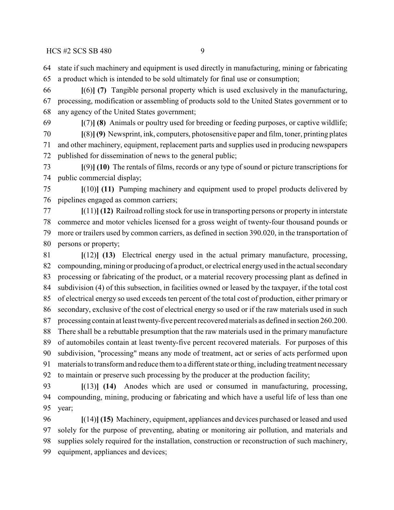state if such machinery and equipment is used directly in manufacturing, mining or fabricating a product which is intended to be sold ultimately for final use or consumption;

 **[**(6)**] (7)** Tangible personal property which is used exclusively in the manufacturing, processing, modification or assembling of products sold to the United States government or to any agency of the United States government;

**[**(7)**] (8)** Animals or poultry used for breeding or feeding purposes, or captive wildlife;

 **[**(8)**] (9)** Newsprint, ink, computers, photosensitive paper and film, toner, printing plates and other machinery, equipment, replacement parts and supplies used in producing newspapers published for dissemination of news to the general public;

 **[**(9)**] (10)** The rentals of films, records or any type of sound or picture transcriptions for public commercial display;

 **[**(10)**] (11)** Pumping machinery and equipment used to propel products delivered by pipelines engaged as common carriers;

 **[**(11)**] (12)** Railroad rolling stock for use in transporting persons or property in interstate commerce and motor vehicles licensed for a gross weight of twenty-four thousand pounds or more or trailers used by common carriers, as defined in section 390.020, in the transportation of persons or property;

 **[**(12)**] (13)** Electrical energy used in the actual primary manufacture, processing, compounding, mining or producing of a product, or electrical energy used in the actual secondary processing or fabricating of the product, or a material recovery processing plant as defined in subdivision (4) of this subsection, in facilities owned or leased by the taxpayer, if the total cost of electrical energy so used exceeds ten percent of the total cost of production, either primary or secondary, exclusive of the cost of electrical energy so used or if the raw materials used in such processing contain at least twenty-five percent recovered materials as defined in section 260.200. There shall be a rebuttable presumption that the raw materials used in the primary manufacture of automobiles contain at least twenty-five percent recovered materials. For purposes of this subdivision, "processing" means any mode of treatment, act or series of acts performed upon materials to transform and reduce them to a different state or thing, including treatment necessary to maintain or preserve such processing by the producer at the production facility;

 **[**(13)**] (14)** Anodes which are used or consumed in manufacturing, processing, compounding, mining, producing or fabricating and which have a useful life of less than one year;

 **[**(14)**] (15)** Machinery, equipment, appliances and devices purchased or leased and used solely for the purpose of preventing, abating or monitoring air pollution, and materials and supplies solely required for the installation, construction or reconstruction of such machinery, equipment, appliances and devices;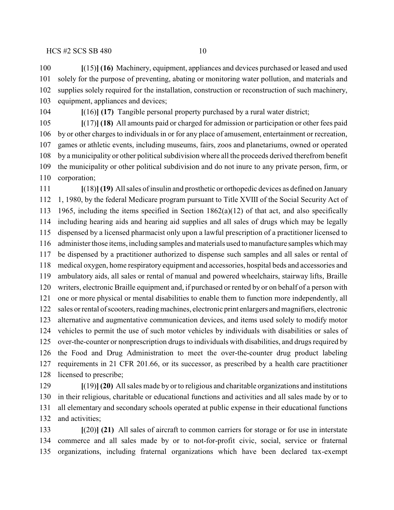**[**(15)**] (16)** Machinery, equipment, appliances and devices purchased or leased and used solely for the purpose of preventing, abating or monitoring water pollution, and materials and supplies solely required for the installation, construction or reconstruction of such machinery, equipment, appliances and devices;

**[**(16)**] (17)** Tangible personal property purchased by a rural water district;

 **[**(17)**] (18)** All amounts paid or charged for admission or participation or other fees paid by or other charges to individuals in or for any place of amusement, entertainment or recreation, games or athletic events, including museums, fairs, zoos and planetariums, owned or operated by a municipality or other political subdivision where all the proceeds derived therefrom benefit the municipality or other political subdivision and do not inure to any private person, firm, or corporation;

 **[**(18)**](19)** Allsales of insulin and prosthetic or orthopedic devices as defined on January 1, 1980, by the federal Medicare program pursuant to Title XVIII of the Social Security Act of 1965, including the items specified in Section 1862(a)(12) of that act, and also specifically including hearing aids and hearing aid supplies and all sales of drugs which may be legally dispensed by a licensed pharmacist only upon a lawful prescription of a practitioner licensed to administer those items, including samples and materials used to manufacture samples which may be dispensed by a practitioner authorized to dispense such samples and all sales or rental of medical oxygen, home respiratory equipment and accessories, hospital beds and accessories and ambulatory aids, all sales or rental of manual and powered wheelchairs, stairway lifts, Braille writers, electronic Braille equipment and, if purchased or rented by or on behalf of a person with one or more physical or mental disabilities to enable them to function more independently, all sales or rental of scooters, reading machines, electronic print enlargers and magnifiers, electronic alternative and augmentative communication devices, and items used solely to modify motor vehicles to permit the use of such motor vehicles by individuals with disabilities or sales of 125 over-the-counter or nonprescription drugs to individuals with disabilities, and drugs required by the Food and Drug Administration to meet the over-the-counter drug product labeling requirements in 21 CFR 201.66, or its successor, as prescribed by a health care practitioner licensed to prescribe;

 **[**(19)**] (20)** All sales made by or to religious and charitable organizations and institutions in their religious, charitable or educational functions and activities and all sales made by or to all elementary and secondary schools operated at public expense in their educational functions and activities;

 **[**(20)**] (21)** All sales of aircraft to common carriers for storage or for use in interstate commerce and all sales made by or to not-for-profit civic, social, service or fraternal organizations, including fraternal organizations which have been declared tax-exempt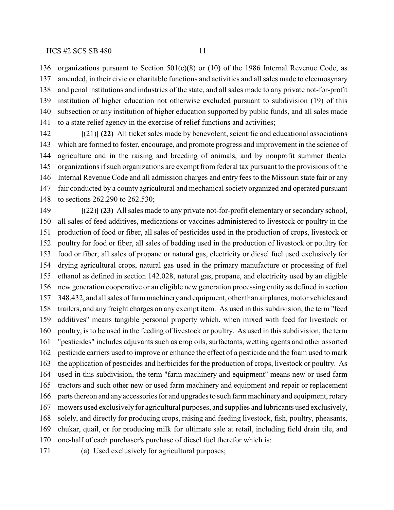organizations pursuant to Section 501(c)(8) or (10) of the 1986 Internal Revenue Code, as amended, in their civic or charitable functions and activities and all sales made to eleemosynary and penal institutions and industries of the state, and all sales made to any private not-for-profit institution of higher education not otherwise excluded pursuant to subdivision (19) of this subsection or any institution of higher education supported by public funds, and all sales made to a state relief agency in the exercise of relief functions and activities;

 **[**(21)**] (22)** All ticket sales made by benevolent, scientific and educational associations which are formed to foster, encourage, and promote progress and improvement in the science of agriculture and in the raising and breeding of animals, and by nonprofit summer theater organizations if such organizations are exempt from federal tax pursuant to the provisions of the Internal Revenue Code and all admission charges and entry fees to the Missouri state fair or any fair conducted by a county agricultural and mechanical society organized and operated pursuant to sections 262.290 to 262.530;

 **[**(22)**] (23)** All sales made to any private not-for-profit elementary or secondary school, all sales of feed additives, medications or vaccines administered to livestock or poultry in the production of food or fiber, all sales of pesticides used in the production of crops, livestock or poultry for food or fiber, all sales of bedding used in the production of livestock or poultry for food or fiber, all sales of propane or natural gas, electricity or diesel fuel used exclusively for drying agricultural crops, natural gas used in the primary manufacture or processing of fuel ethanol as defined in section 142.028, natural gas, propane, and electricity used by an eligible new generation cooperative or an eligible new generation processing entity as defined in section 348.432, and all sales of farm machinery and equipment, other than airplanes, motor vehicles and trailers, and any freight charges on any exempt item. As used in this subdivision, the term "feed additives" means tangible personal property which, when mixed with feed for livestock or poultry, is to be used in the feeding of livestock or poultry. As used in this subdivision, the term "pesticides" includes adjuvants such as crop oils, surfactants, wetting agents and other assorted pesticide carriers used to improve or enhance the effect of a pesticide and the foam used to mark the application of pesticides and herbicides for the production of crops, livestock or poultry. As used in this subdivision, the term "farm machinery and equipment" means new or used farm tractors and such other new or used farm machinery and equipment and repair or replacement parts thereon and any accessories for and upgrades to such farm machinery and equipment, rotary mowers used exclusively for agricultural purposes, and supplies and lubricants used exclusively, solely, and directly for producing crops, raising and feeding livestock, fish, poultry, pheasants, chukar, quail, or for producing milk for ultimate sale at retail, including field drain tile, and one-half of each purchaser's purchase of diesel fuel therefor which is:

(a) Used exclusively for agricultural purposes;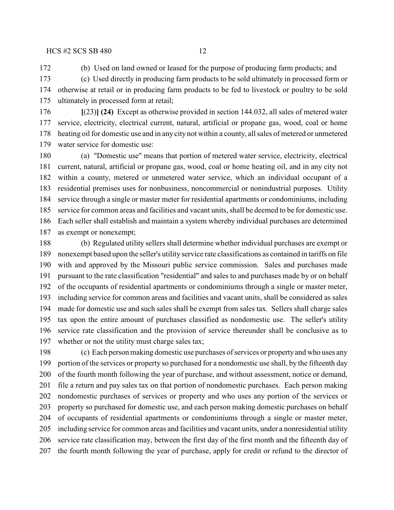(b) Used on land owned or leased for the purpose of producing farm products; and

 (c) Used directly in producing farm products to be sold ultimately in processed form or otherwise at retail or in producing farm products to be fed to livestock or poultry to be sold ultimately in processed form at retail;

 **[**(23)**] (24)** Except as otherwise provided in section 144.032, all sales of metered water service, electricity, electrical current, natural, artificial or propane gas, wood, coal or home heating oil for domestic use and in any city not within a county, all sales of metered or unmetered water service for domestic use:

 (a) "Domestic use" means that portion of metered water service, electricity, electrical current, natural, artificial or propane gas, wood, coal or home heating oil, and in any city not within a county, metered or unmetered water service, which an individual occupant of a residential premises uses for nonbusiness, noncommercial or nonindustrial purposes. Utility service through a single or master meter for residential apartments or condominiums, including service for common areas and facilities and vacant units, shall be deemed to be for domestic use. Each seller shall establish and maintain a system whereby individual purchases are determined as exempt or nonexempt;

 (b) Regulated utility sellers shall determine whether individual purchases are exempt or nonexempt based upon the seller's utility service rate classifications as contained in tariffs on file with and approved by the Missouri public service commission. Sales and purchases made pursuant to the rate classification "residential" and sales to and purchases made by or on behalf of the occupants of residential apartments or condominiums through a single or master meter, including service for common areas and facilities and vacant units, shall be considered as sales made for domestic use and such sales shall be exempt from sales tax. Sellers shall charge sales tax upon the entire amount of purchases classified as nondomestic use. The seller's utility service rate classification and the provision of service thereunder shall be conclusive as to whether or not the utility must charge sales tax;

 (c) Each personmaking domestic use purchases of services or property and who uses any portion of the services or property so purchased for a nondomestic use shall, by the fifteenth day of the fourth month following the year of purchase, and without assessment, notice or demand, file a return and pay sales tax on that portion of nondomestic purchases. Each person making nondomestic purchases of services or property and who uses any portion of the services or property so purchased for domestic use, and each person making domestic purchases on behalf of occupants of residential apartments or condominiums through a single or master meter, including service for common areas and facilities and vacant units, under a nonresidential utility service rate classification may, between the first day of the first month and the fifteenth day of the fourth month following the year of purchase, apply for credit or refund to the director of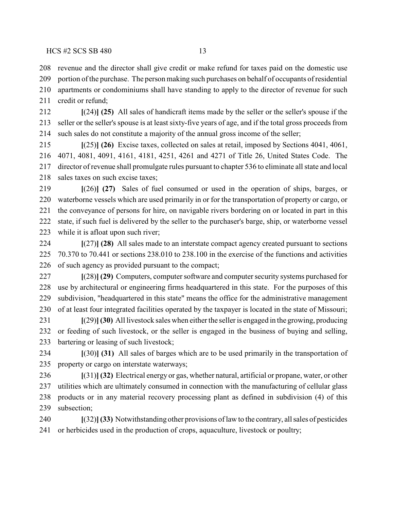revenue and the director shall give credit or make refund for taxes paid on the domestic use

209 portion of the purchase. The person making such purchases on behalf of occupants of residential apartments or condominiums shall have standing to apply to the director of revenue for such

211 credit or refund:

 **[**(24)**] (25)** All sales of handicraft items made by the seller or the seller's spouse if the seller or the seller's spouse is at least sixty-five years of age, and if the total gross proceeds from such sales do not constitute a majority of the annual gross income of the seller;

 **[**(25)**] (26)** Excise taxes, collected on sales at retail, imposed by Sections 4041, 4061, 4071, 4081, 4091, 4161, 4181, 4251, 4261 and 4271 of Title 26, United States Code. The director of revenue shall promulgate rules pursuant to chapter 536 to eliminate all state and local 218 sales taxes on such excise taxes;

 **[**(26)**] (27)** Sales of fuel consumed or used in the operation of ships, barges, or waterborne vessels which are used primarily in or for the transportation of property or cargo, or the conveyance of persons for hire, on navigable rivers bordering on or located in part in this state, if such fuel is delivered by the seller to the purchaser's barge, ship, or waterborne vessel while it is afloat upon such river;

 **[**(27)**] (28)** All sales made to an interstate compact agency created pursuant to sections 70.370 to 70.441 or sections 238.010 to 238.100 in the exercise of the functions and activities of such agency as provided pursuant to the compact;

 **[**(28)**] (29)** Computers, computer software and computer security systems purchased for use by architectural or engineering firms headquartered in this state. For the purposes of this subdivision, "headquartered in this state" means the office for the administrative management of at least four integrated facilities operated by the taxpayer is located in the state of Missouri;

 **[**(29)**](30)** All livestock sales when eitherthe seller is engaged in the growing, producing or feeding of such livestock, or the seller is engaged in the business of buying and selling, bartering or leasing of such livestock;

 **[**(30)**] (31)** All sales of barges which are to be used primarily in the transportation of property or cargo on interstate waterways;

 **[**(31)**] (32)** Electrical energy or gas, whether natural, artificial or propane, water, or other utilities which are ultimately consumed in connection with the manufacturing of cellular glass products or in any material recovery processing plant as defined in subdivision (4) of this subsection;

 **[**(32)**](33)** Notwithstanding other provisions of law to the contrary, all sales of pesticides or herbicides used in the production of crops, aquaculture, livestock or poultry;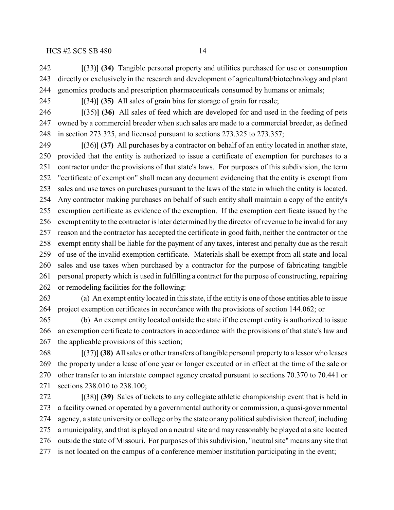**[**(33)**] (34)** Tangible personal property and utilities purchased for use or consumption directly or exclusively in the research and development of agricultural/biotechnology and plant genomics products and prescription pharmaceuticals consumed by humans or animals;

**[**(34)**] (35)** All sales of grain bins for storage of grain for resale;

 **[**(35)**] (36)** All sales of feed which are developed for and used in the feeding of pets owned by a commercial breeder when such sales are made to a commercial breeder, as defined in section 273.325, and licensed pursuant to sections 273.325 to 273.357;

 **[**(36)**] (37)** All purchases by a contractor on behalf of an entity located in another state, provided that the entity is authorized to issue a certificate of exemption for purchases to a contractor under the provisions of that state's laws. For purposes of this subdivision, the term "certificate of exemption" shall mean any document evidencing that the entity is exempt from sales and use taxes on purchases pursuant to the laws of the state in which the entity is located. Any contractor making purchases on behalf of such entity shall maintain a copy of the entity's exemption certificate as evidence of the exemption. If the exemption certificate issued by the exempt entity to the contractor islater determined by the director of revenue to be invalid for any reason and the contractor has accepted the certificate in good faith, neither the contractor or the exempt entity shall be liable for the payment of any taxes, interest and penalty due as the result of use of the invalid exemption certificate. Materials shall be exempt from all state and local sales and use taxes when purchased by a contractor for the purpose of fabricating tangible personal property which is used in fulfilling a contract for the purpose of constructing, repairing or remodeling facilities for the following:

 (a) An exempt entity located in this state, if the entity is one of those entities able to issue project exemption certificates in accordance with the provisions of section 144.062; or

 (b) An exempt entity located outside the state if the exempt entity is authorized to issue an exemption certificate to contractors in accordance with the provisions of that state's law and the applicable provisions of this section;

 **[**(37)**](38)** All sales or other transfers of tangible personal property to a lessor who leases the property under a lease of one year or longer executed or in effect at the time of the sale or other transfer to an interstate compact agency created pursuant to sections 70.370 to 70.441 or sections 238.010 to 238.100;

 **[**(38)**] (39)** Sales of tickets to any collegiate athletic championship event that is held in a facility owned or operated by a governmental authority or commission, a quasi-governmental agency, a state university or college or by the state or any political subdivision thereof, including a municipality, and that is played on a neutral site and may reasonably be played at a site located outside the state of Missouri. For purposes of this subdivision, "neutral site" means any site that is not located on the campus of a conference member institution participating in the event;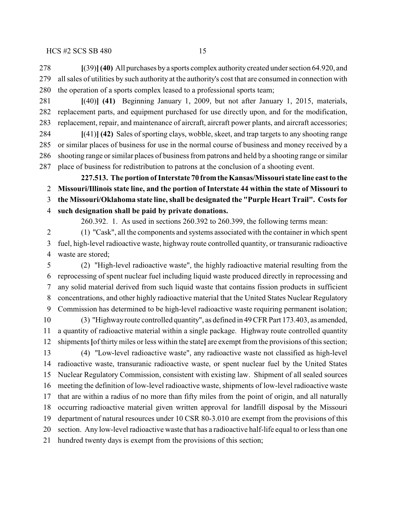**[**(39)**](40)** All purchases by a sports complex authority created under section 64.920, and all sales of utilities by such authority at the authority's cost that are consumed in connection with the operation of a sports complex leased to a professional sports team;

 **[**(40)**] (41)** Beginning January 1, 2009, but not after January 1, 2015, materials, replacement parts, and equipment purchased for use directly upon, and for the modification, replacement, repair, and maintenance of aircraft, aircraft power plants, and aircraft accessories;

 **[**(41)**] (42)** Sales of sporting clays, wobble, skeet, and trap targets to any shooting range or similar places of business for use in the normal course of business and money received by a shooting range or similar places of business from patrons and held by a shooting range or similar place of business for redistribution to patrons at the conclusion of a shooting event.

**227.513. The portion of Interstate 70 fromtheKansas/Missouri state line east to the Missouri/Illinois state line, and the portion of Interstate 44 within the state of Missouri to the Missouri/Oklahoma state line, shall be designated the "Purple Heart Trail". Costs for such designation shall be paid by private donations.**

260.392. 1. As used in sections 260.392 to 260.399, the following terms mean:

 (1) "Cask", all the components and systems associated with the container in which spent fuel, high-level radioactive waste, highway route controlled quantity, or transuranic radioactive waste are stored;

 (2) "High-level radioactive waste", the highly radioactive material resulting from the reprocessing of spent nuclear fuel including liquid waste produced directly in reprocessing and any solid material derived from such liquid waste that contains fission products in sufficient concentrations, and other highly radioactive material that the United States Nuclear Regulatory Commission has determined to be high-level radioactive waste requiring permanent isolation;

 (3) "Highway route controlled quantity", as defined in 49 CFR Part 173.403, as amended, a quantity of radioactive material within a single package. Highway route controlled quantity shipments**[**of thirtymiles or less within the state**]** are exempt from the provisions of this section;

 (4) "Low-level radioactive waste", any radioactive waste not classified as high-level radioactive waste, transuranic radioactive waste, or spent nuclear fuel by the United States Nuclear Regulatory Commission, consistent with existing law. Shipment of all sealed sources meeting the definition of low-level radioactive waste, shipments of low-level radioactive waste that are within a radius of no more than fifty miles from the point of origin, and all naturally occurring radioactive material given written approval for landfill disposal by the Missouri department of natural resources under 10 CSR 80-3.010 are exempt from the provisions of this section. Any low-level radioactive waste that has a radioactive half-life equal to or less than one hundred twenty days is exempt from the provisions of this section;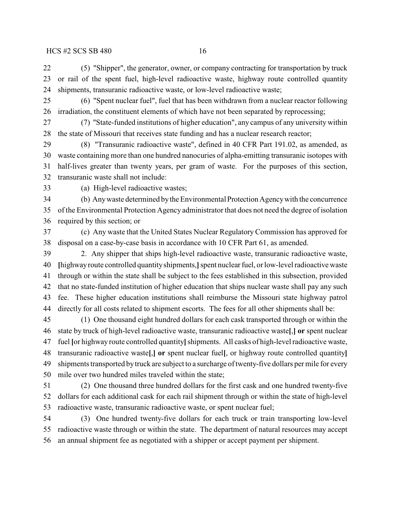(5) "Shipper", the generator, owner, or company contracting for transportation by truck or rail of the spent fuel, high-level radioactive waste, highway route controlled quantity shipments, transuranic radioactive waste, or low-level radioactive waste;

- (6) "Spent nuclear fuel", fuel that has been withdrawn from a nuclear reactor following irradiation, the constituent elements of which have not been separated by reprocessing;
- (7) "State-funded institutions of higher education", any campus of any university within the state of Missouri that receives state funding and has a nuclear research reactor;

 (8) "Transuranic radioactive waste", defined in 40 CFR Part 191.02, as amended, as waste containing more than one hundred nanocuries of alpha-emitting transuranic isotopes with half-lives greater than twenty years, per gram of waste. For the purposes of this section, transuranic waste shall not include:

(a) High-level radioactive wastes;

 (b) Any waste determined by the Environmental Protection Agency with the concurrence of the Environmental Protection Agency administrator that does not need the degree of isolation required by this section; or

 (c) Any waste that the United States Nuclear Regulatory Commission has approved for disposal on a case-by-case basis in accordance with 10 CFR Part 61, as amended.

 2. Any shipper that ships high-level radioactive waste, transuranic radioactive waste, **[**highway route controlled quantity shipments,**]** spent nuclear fuel, or low-level radioactive waste through or within the state shall be subject to the fees established in this subsection, provided that no state-funded institution of higher education that ships nuclear waste shall pay any such fee. These higher education institutions shall reimburse the Missouri state highway patrol directly for all costs related to shipment escorts. The fees for all other shipments shall be:

 (1) One thousand eight hundred dollars for each cask transported through or within the state by truck of high-level radioactive waste, transuranic radioactive waste**[**,**] or** spent nuclear fuel **[**or highway route controlled quantity**]**shipments. All casks of high-level radioactive waste, transuranic radioactive waste**[**,**] or** spent nuclear fuel**[**, or highway route controlled quantity**]** 49 shipments transported by truck are subject to a surcharge of twenty-five dollars per mile for every mile over two hundred miles traveled within the state;

 (2) One thousand three hundred dollars for the first cask and one hundred twenty-five dollars for each additional cask for each rail shipment through or within the state of high-level radioactive waste, transuranic radioactive waste, or spent nuclear fuel;

 (3) One hundred twenty-five dollars for each truck or train transporting low-level radioactive waste through or within the state. The department of natural resources may accept an annual shipment fee as negotiated with a shipper or accept payment per shipment.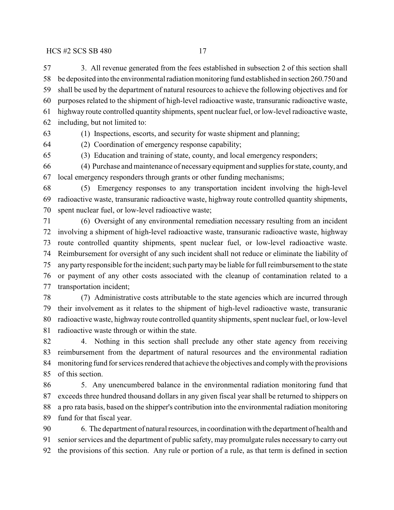3. All revenue generated from the fees established in subsection 2 of this section shall be deposited into the environmental radiation monitoring fund established in section 260.750 and shall be used by the department of natural resources to achieve the following objectives and for purposes related to the shipment of high-level radioactive waste, transuranic radioactive waste, highway route controlled quantity shipments, spent nuclear fuel, or low-level radioactive waste, including, but not limited to:

(1) Inspections, escorts, and security for waste shipment and planning;

(2) Coordination of emergency response capability;

(3) Education and training of state, county, and local emergency responders;

 (4) Purchase and maintenance of necessary equipment and supplies for state, county, and local emergency responders through grants or other funding mechanisms;

 (5) Emergency responses to any transportation incident involving the high-level radioactive waste, transuranic radioactive waste, highway route controlled quantity shipments, spent nuclear fuel, or low-level radioactive waste;

 (6) Oversight of any environmental remediation necessary resulting from an incident involving a shipment of high-level radioactive waste, transuranic radioactive waste, highway route controlled quantity shipments, spent nuclear fuel, or low-level radioactive waste. Reimbursement for oversight of any such incident shall not reduce or eliminate the liability of any party responsible for the incident; such party may be liable for full reimbursement to the state or payment of any other costs associated with the cleanup of contamination related to a transportation incident;

 (7) Administrative costs attributable to the state agencies which are incurred through their involvement as it relates to the shipment of high-level radioactive waste, transuranic radioactive waste, highway route controlled quantity shipments, spent nuclear fuel, or low-level radioactive waste through or within the state.

 4. Nothing in this section shall preclude any other state agency from receiving reimbursement from the department of natural resources and the environmental radiation monitoring fund for services rendered that achieve the objectives and comply with the provisions of this section.

 5. Any unencumbered balance in the environmental radiation monitoring fund that exceeds three hundred thousand dollars in any given fiscal year shall be returned to shippers on a pro rata basis, based on the shipper's contribution into the environmental radiation monitoring fund for that fiscal year.

 6. The department of natural resources, in coordination with the department of health and senior services and the department of public safety, may promulgate rules necessary to carry out the provisions of this section. Any rule or portion of a rule, as that term is defined in section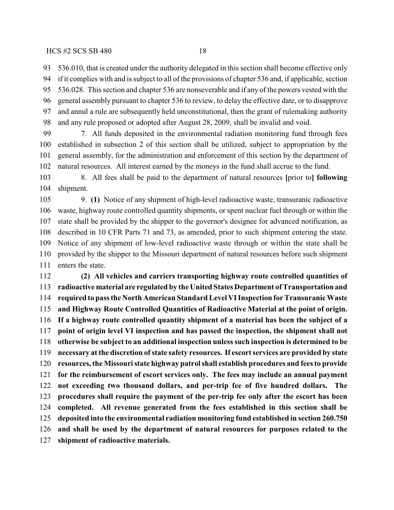536.010, that is created under the authority delegated in this section shall become effective only

 if it complies with and is subject to all of the provisions of chapter 536 and, if applicable, section 536.028. This section and chapter 536 are nonseverable and if any of the powers vested with the general assembly pursuant to chapter 536 to review, to delay the effective date, or to disapprove

 and annul a rule are subsequently held unconstitutional, then the grant of rulemaking authority and any rule proposed or adopted after August 28, 2009, shall be invalid and void.

 7. All funds deposited in the environmental radiation monitoring fund through fees established in subsection 2 of this section shall be utilized, subject to appropriation by the general assembly, for the administration and enforcement of this section by the department of natural resources. All interest earned by the moneys in the fund shall accrue to the fund.

 8. All fees shall be paid to the department of natural resources **[**prior to**] following** shipment.

 9. **(1)** Notice of any shipment of high-level radioactive waste, transuranic radioactive waste, highway route controlled quantity shipments, or spent nuclear fuel through or within the state shall be provided by the shipper to the governor's designee for advanced notification, as described in 10 CFR Parts 71 and 73, as amended, prior to such shipment entering the state. Notice of any shipment of low-level radioactive waste through or within the state shall be provided by the shipper to the Missouri department of natural resources before such shipment enters the state.

 **(2) All vehicles and carriers transporting highway route controlled quantities of radioactive material are regulated by the United States Department of Transportation and required to pass the North American Standard Level VI Inspection for Transuranic Waste and Highway Route Controlled Quantities of Radioactive Material at the point of origin. If a highway route controlled quantity shipment of a material has been the subject of a point of origin level VI inspection and has passed the inspection, the shipment shall not otherwise be subject to an additional inspection unless such inspection is determined to be necessary at the discretion of state safety resources. If escort services are provided by state resources, the Missouri state highway patrol shall establish procedures and fees to provide for the reimbursement of escort services only. The fees may include an annual payment not exceeding two thousand dollars, and per-trip fee of five hundred dollars. The procedures shall require the payment of the per-trip fee only after the escort has been completed. All revenue generated from the fees established in this section shall be deposited into the environmental radiation monitoring fund established in section 260.750 and shall be used by the department of natural resources for purposes related to the shipment of radioactive materials.**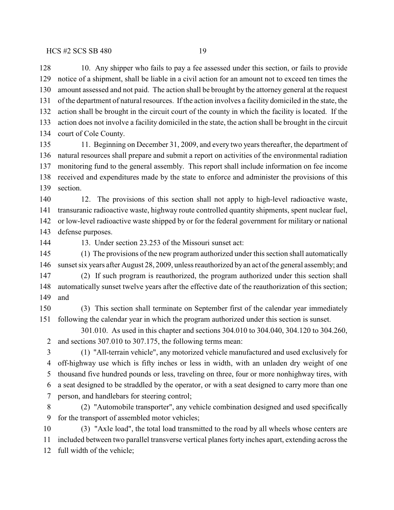10. Any shipper who fails to pay a fee assessed under this section, or fails to provide notice of a shipment, shall be liable in a civil action for an amount not to exceed ten times the amount assessed and not paid. The action shall be brought by the attorney general at the request of the department of natural resources. If the action involves a facility domiciled in the state, the action shall be brought in the circuit court of the county in which the facility is located. If the action does not involve a facility domiciled in the state, the action shall be brought in the circuit court of Cole County.

 11. Beginning on December 31, 2009, and every two years thereafter, the department of natural resources shall prepare and submit a report on activities of the environmental radiation monitoring fund to the general assembly. This report shall include information on fee income received and expenditures made by the state to enforce and administer the provisions of this section.

 12. The provisions of this section shall not apply to high-level radioactive waste, transuranic radioactive waste, highway route controlled quantity shipments, spent nuclear fuel, or low-level radioactive waste shipped by or for the federal government for military or national defense purposes.

13. Under section 23.253 of the Missouri sunset act:

 (1) The provisions of the new program authorized under this section shall automatically sunset six years after August 28, 2009, unless reauthorized byan act of the general assembly; and

 (2) If such program is reauthorized, the program authorized under this section shall automatically sunset twelve years after the effective date of the reauthorization of this section; and

 (3) This section shall terminate on September first of the calendar year immediately following the calendar year in which the program authorized under this section is sunset.

301.010. As used in this chapter and sections 304.010 to 304.040, 304.120 to 304.260, and sections 307.010 to 307.175, the following terms mean:

 (1) "All-terrain vehicle", any motorized vehicle manufactured and used exclusively for off-highway use which is fifty inches or less in width, with an unladen dry weight of one thousand five hundred pounds or less, traveling on three, four or more nonhighway tires, with a seat designed to be straddled by the operator, or with a seat designed to carry more than one person, and handlebars for steering control;

 (2) "Automobile transporter", any vehicle combination designed and used specifically for the transport of assembled motor vehicles;

 (3) "Axle load", the total load transmitted to the road by all wheels whose centers are included between two parallel transverse vertical planes forty inches apart, extending across the full width of the vehicle;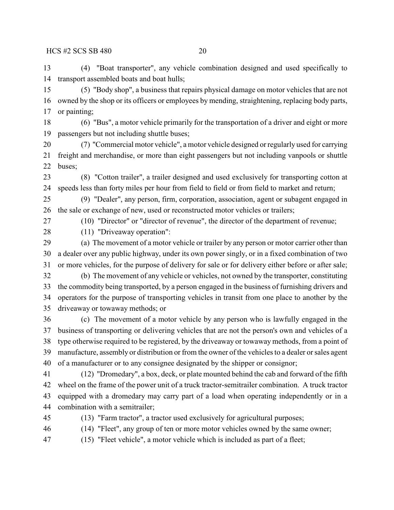(4) "Boat transporter", any vehicle combination designed and used specifically to transport assembled boats and boat hulls;

 (5) "Body shop", a business that repairs physical damage on motor vehicles that are not owned by the shop or its officers or employees by mending, straightening, replacing body parts, or painting;

 (6) "Bus", a motor vehicle primarily for the transportation of a driver and eight or more passengers but not including shuttle buses;

 (7) "Commercial motor vehicle", a motor vehicle designed or regularly used for carrying freight and merchandise, or more than eight passengers but not including vanpools or shuttle buses;

 (8) "Cotton trailer", a trailer designed and used exclusively for transporting cotton at speeds less than forty miles per hour from field to field or from field to market and return;

 (9) "Dealer", any person, firm, corporation, association, agent or subagent engaged in the sale or exchange of new, used or reconstructed motor vehicles or trailers;

(10) "Director" or "director of revenue", the director of the department of revenue;

(11) "Driveaway operation":

 (a) The movement of a motor vehicle or trailer by any person or motor carrier other than a dealer over any public highway, under its own power singly, or in a fixed combination of two or more vehicles, for the purpose of delivery for sale or for delivery either before or after sale;

 (b) The movement of any vehicle or vehicles, not owned by the transporter, constituting the commodity being transported, by a person engaged in the business of furnishing drivers and operators for the purpose of transporting vehicles in transit from one place to another by the driveaway or towaway methods; or

 (c) The movement of a motor vehicle by any person who is lawfully engaged in the business of transporting or delivering vehicles that are not the person's own and vehicles of a type otherwise required to be registered, by the driveaway or towaway methods, from a point of manufacture, assembly or distribution or from the owner of the vehicles to a dealer or sales agent of a manufacturer or to any consignee designated by the shipper or consignor;

 (12) "Dromedary", a box, deck, or plate mounted behind the cab and forward of the fifth wheel on the frame of the power unit of a truck tractor-semitrailer combination. A truck tractor equipped with a dromedary may carry part of a load when operating independently or in a combination with a semitrailer;

(13) "Farm tractor", a tractor used exclusively for agricultural purposes;

(14) "Fleet", any group of ten or more motor vehicles owned by the same owner;

(15) "Fleet vehicle", a motor vehicle which is included as part of a fleet;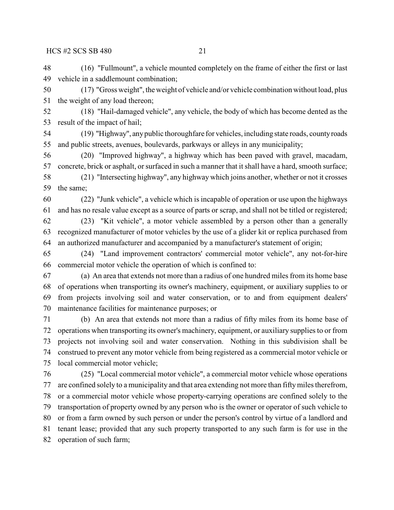(16) "Fullmount", a vehicle mounted completely on the frame of either the first or last vehicle in a saddlemount combination;

 (17) "Gross weight", the weight of vehicle and/or vehicle combination without load, plus the weight of any load thereon;

 (18) "Hail-damaged vehicle", any vehicle, the body of which has become dented as the result of the impact of hail;

 (19) "Highway", any public thoroughfare for vehicles, including state roads, county roads and public streets, avenues, boulevards, parkways or alleys in any municipality;

 (20) "Improved highway", a highway which has been paved with gravel, macadam, concrete, brick or asphalt, or surfaced in such a manner that it shall have a hard, smooth surface;

 (21) "Intersecting highway", any highway which joins another, whether or not it crosses the same;

 (22) "Junk vehicle", a vehicle which is incapable of operation or use upon the highways and has no resale value except as a source of parts or scrap, and shall not be titled or registered;

 (23) "Kit vehicle", a motor vehicle assembled by a person other than a generally recognized manufacturer of motor vehicles by the use of a glider kit or replica purchased from an authorized manufacturer and accompanied by a manufacturer's statement of origin;

 (24) "Land improvement contractors' commercial motor vehicle", any not-for-hire commercial motor vehicle the operation of which is confined to:

 (a) An area that extends not more than a radius of one hundred miles from its home base of operations when transporting its owner's machinery, equipment, or auxiliary supplies to or from projects involving soil and water conservation, or to and from equipment dealers' maintenance facilities for maintenance purposes; or

 (b) An area that extends not more than a radius of fifty miles from its home base of operations when transporting its owner's machinery, equipment, or auxiliary supplies to or from projects not involving soil and water conservation. Nothing in this subdivision shall be construed to prevent any motor vehicle from being registered as a commercial motor vehicle or local commercial motor vehicle;

 (25) "Local commercial motor vehicle", a commercial motor vehicle whose operations are confined solely to a municipality and that area extending not more than fifty miles therefrom, or a commercial motor vehicle whose property-carrying operations are confined solely to the transportation of property owned by any person who is the owner or operator of such vehicle to or from a farm owned by such person or under the person's control by virtue of a landlord and tenant lease; provided that any such property transported to any such farm is for use in the operation of such farm;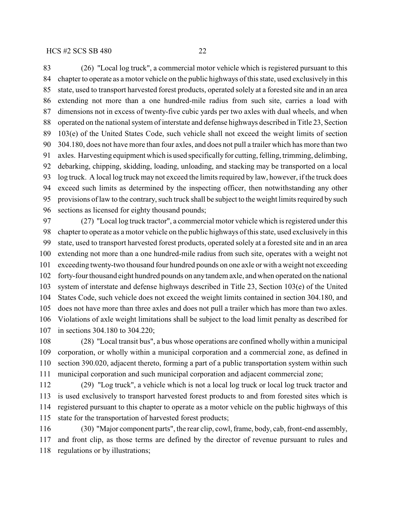(26) "Local log truck", a commercial motor vehicle which is registered pursuant to this chapter to operate as a motor vehicle on the public highways of this state, used exclusively in this state, used to transport harvested forest products, operated solely at a forested site and in an area extending not more than a one hundred-mile radius from such site, carries a load with dimensions not in excess of twenty-five cubic yards per two axles with dual wheels, and when operated on the national system of interstate and defense highways described in Title 23, Section 103(e) of the United States Code, such vehicle shall not exceed the weight limits of section 304.180, does not have more than four axles, and does not pull a trailer which has more than two axles. Harvesting equipment which is used specifically for cutting, felling, trimming, delimbing, debarking, chipping, skidding, loading, unloading, and stacking may be transported on a local 93 log truck. A local log truck may not exceed the limits required by law, however, if the truck does exceed such limits as determined by the inspecting officer, then notwithstanding any other provisions of law to the contrary, such truck shall be subject to the weight limits required by such sections as licensed for eighty thousand pounds;

 (27) "Local log truck tractor", a commercial motor vehicle which is registered under this chapter to operate as a motor vehicle on the public highways ofthis state, used exclusively in this state, used to transport harvested forest products, operated solely at a forested site and in an area extending not more than a one hundred-mile radius from such site, operates with a weight not exceeding twenty-two thousand four hundred pounds on one axle or with a weight not exceeding forty-four thousand eight hundred pounds on any tandem axle, and when operated on the national system of interstate and defense highways described in Title 23, Section 103(e) of the United States Code, such vehicle does not exceed the weight limits contained in section 304.180, and does not have more than three axles and does not pull a trailer which has more than two axles. Violations of axle weight limitations shall be subject to the load limit penalty as described for in sections 304.180 to 304.220;

 (28) "Local transit bus", a bus whose operations are confined wholly within a municipal corporation, or wholly within a municipal corporation and a commercial zone, as defined in section 390.020, adjacent thereto, forming a part of a public transportation system within such municipal corporation and such municipal corporation and adjacent commercial zone;

 (29) "Log truck", a vehicle which is not a local log truck or local log truck tractor and is used exclusively to transport harvested forest products to and from forested sites which is registered pursuant to this chapter to operate as a motor vehicle on the public highways of this state for the transportation of harvested forest products;

 (30) "Major component parts", the rear clip, cowl, frame, body, cab, front-end assembly, and front clip, as those terms are defined by the director of revenue pursuant to rules and regulations or by illustrations;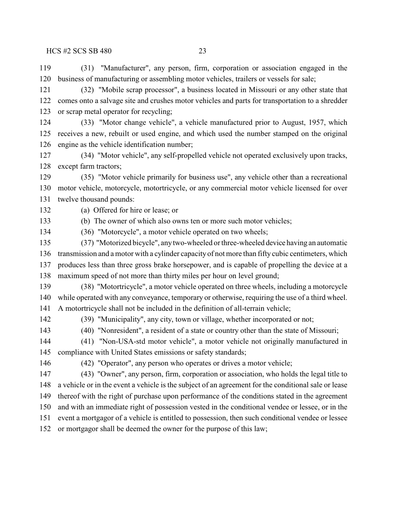(31) "Manufacturer", any person, firm, corporation or association engaged in the business of manufacturing or assembling motor vehicles, trailers or vessels for sale;

 (32) "Mobile scrap processor", a business located in Missouri or any other state that comes onto a salvage site and crushes motor vehicles and parts for transportation to a shredder or scrap metal operator for recycling;

- (33) "Motor change vehicle", a vehicle manufactured prior to August, 1957, which receives a new, rebuilt or used engine, and which used the number stamped on the original engine as the vehicle identification number;
- (34) "Motor vehicle", any self-propelled vehicle not operated exclusively upon tracks, except farm tractors;

 (35) "Motor vehicle primarily for business use", any vehicle other than a recreational motor vehicle, motorcycle, motortricycle, or any commercial motor vehicle licensed for over twelve thousand pounds:

(a) Offered for hire or lease; or

(b) The owner of which also owns ten or more such motor vehicles;

- (36) "Motorcycle", a motor vehicle operated on two wheels;
- (37) "Motorized bicycle", any two-wheeled or three-wheeled device having an automatic transmission and a motor with a cylinder capacity of not more than fifty cubic centimeters, which produces less than three gross brake horsepower, and is capable of propelling the device at a maximum speed of not more than thirty miles per hour on level ground;
- (38) "Motortricycle", a motor vehicle operated on three wheels, including a motorcycle while operated with any conveyance, temporary or otherwise, requiring the use of a third wheel. A motortricycle shall not be included in the definition of all-terrain vehicle;
- 

(39) "Municipality", any city, town or village, whether incorporated or not;

- (40) "Nonresident", a resident of a state or country other than the state of Missouri;
- (41) "Non-USA-std motor vehicle", a motor vehicle not originally manufactured in compliance with United States emissions or safety standards;

(42) "Operator", any person who operates or drives a motor vehicle;

 (43) "Owner", any person, firm, corporation or association, who holds the legal title to a vehicle or in the event a vehicle is the subject of an agreement for the conditional sale or lease thereof with the right of purchase upon performance of the conditions stated in the agreement and with an immediate right of possession vested in the conditional vendee or lessee, or in the event a mortgagor of a vehicle is entitled to possession, then such conditional vendee or lessee or mortgagor shall be deemed the owner for the purpose of this law;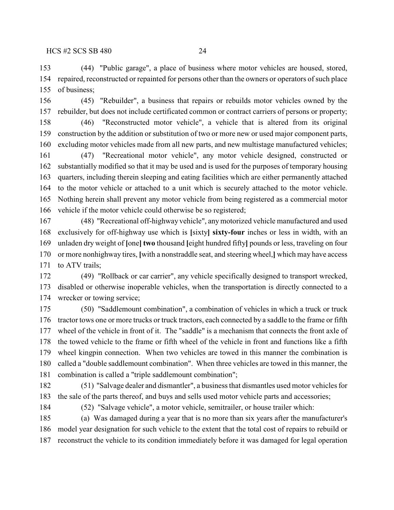(44) "Public garage", a place of business where motor vehicles are housed, stored, repaired, reconstructed or repainted for persons other than the owners or operators of such place of business;

 (45) "Rebuilder", a business that repairs or rebuilds motor vehicles owned by the rebuilder, but does not include certificated common or contract carriers of persons or property;

 (46) "Reconstructed motor vehicle", a vehicle that is altered from its original construction by the addition or substitution of two or more new or used major component parts, excluding motor vehicles made from all new parts, and new multistage manufactured vehicles;

 (47) "Recreational motor vehicle", any motor vehicle designed, constructed or substantially modified so that it may be used and is used for the purposes of temporary housing quarters, including therein sleeping and eating facilities which are either permanently attached to the motor vehicle or attached to a unit which is securely attached to the motor vehicle. Nothing herein shall prevent any motor vehicle from being registered as a commercial motor vehicle if the motor vehicle could otherwise be so registered;

 (48) "Recreational off-highway vehicle", any motorized vehicle manufactured and used exclusively for off-highway use which is **[**sixty**] sixty-four** inches or less in width, with an unladen dry weight of **[**one**] two** thousand **[**eight hundred fifty**]** pounds or less, traveling on four or more nonhighway tires, **[**with a nonstraddle seat, and steering wheel,**]** which may have access 171 to ATV trails;

 (49) "Rollback or car carrier", any vehicle specifically designed to transport wrecked, disabled or otherwise inoperable vehicles, when the transportation is directly connected to a wrecker or towing service;

 (50) "Saddlemount combination", a combination of vehicles in which a truck or truck tractor tows one or more trucks or truck tractors, each connected by a saddle to the frame or fifth wheel of the vehicle in front of it. The "saddle" is a mechanism that connects the front axle of the towed vehicle to the frame or fifth wheel of the vehicle in front and functions like a fifth wheel kingpin connection. When two vehicles are towed in this manner the combination is called a "double saddlemount combination". When three vehicles are towed in this manner, the combination is called a "triple saddlemount combination";

 (51) "Salvage dealer and dismantler", a business that dismantles used motor vehicles for the sale of the parts thereof, and buys and sells used motor vehicle parts and accessories;

(52) "Salvage vehicle", a motor vehicle, semitrailer, or house trailer which:

 (a) Was damaged during a year that is no more than six years after the manufacturer's model year designation for such vehicle to the extent that the total cost of repairs to rebuild or reconstruct the vehicle to its condition immediately before it was damaged for legal operation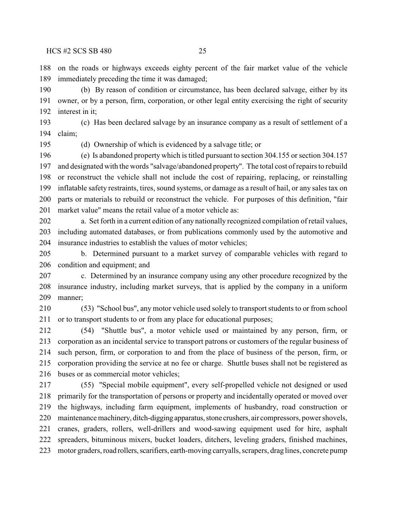on the roads or highways exceeds eighty percent of the fair market value of the vehicle immediately preceding the time it was damaged;

 (b) By reason of condition or circumstance, has been declared salvage, either by its owner, or by a person, firm, corporation, or other legal entity exercising the right of security interest in it;

 (c) Has been declared salvage by an insurance company as a result of settlement of a claim;

(d) Ownership of which is evidenced by a salvage title; or

 (e) Is abandoned property which is titled pursuant to section 304.155 or section 304.157 and designated with the words "salvage/abandoned property". The total cost of repairs to rebuild or reconstruct the vehicle shall not include the cost of repairing, replacing, or reinstalling inflatable safety restraints, tires, sound systems, or damage as a result of hail, or any sales tax on parts or materials to rebuild or reconstruct the vehicle. For purposes of this definition, "fair market value" means the retail value of a motor vehicle as:

 a. Set forth in a current edition of any nationally recognized compilation of retail values, including automated databases, or from publications commonly used by the automotive and insurance industries to establish the values of motor vehicles;

 b. Determined pursuant to a market survey of comparable vehicles with regard to condition and equipment; and

 c. Determined by an insurance company using any other procedure recognized by the insurance industry, including market surveys, that is applied by the company in a uniform manner;

 (53) "School bus", any motor vehicle used solely to transport students to or from school or to transport students to or from any place for educational purposes;

 (54) "Shuttle bus", a motor vehicle used or maintained by any person, firm, or corporation as an incidental service to transport patrons or customers of the regular business of such person, firm, or corporation to and from the place of business of the person, firm, or corporation providing the service at no fee or charge. Shuttle buses shall not be registered as buses or as commercial motor vehicles;

 (55) "Special mobile equipment", every self-propelled vehicle not designed or used primarily for the transportation of persons or property and incidentally operated or moved over the highways, including farm equipment, implements of husbandry, road construction or maintenance machinery, ditch-digging apparatus, stone crushers, air compressors, power shovels, cranes, graders, rollers, well-drillers and wood-sawing equipment used for hire, asphalt spreaders, bituminous mixers, bucket loaders, ditchers, leveling graders, finished machines, motor graders, road rollers, scarifiers, earth-moving carryalls, scrapers, drag lines, concrete pump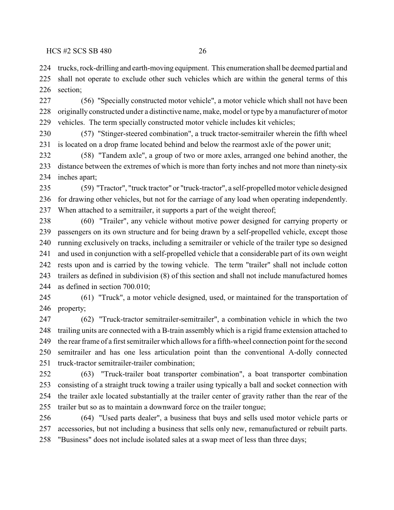trucks, rock-drilling and earth-moving equipment. This enumeration shall be deemed partial and shall not operate to exclude other such vehicles which are within the general terms of this section;

 (56) "Specially constructed motor vehicle", a motor vehicle which shall not have been originally constructed under a distinctive name, make, model or type by a manufacturer of motor vehicles. The term specially constructed motor vehicle includes kit vehicles;

 (57) "Stinger-steered combination", a truck tractor-semitrailer wherein the fifth wheel is located on a drop frame located behind and below the rearmost axle of the power unit;

 (58) "Tandem axle", a group of two or more axles, arranged one behind another, the distance between the extremes of which is more than forty inches and not more than ninety-six inches apart;

 (59) "Tractor", "truck tractor" or "truck-tractor", a self-propelled motor vehicle designed for drawing other vehicles, but not for the carriage of any load when operating independently. When attached to a semitrailer, it supports a part of the weight thereof;

 (60) "Trailer", any vehicle without motive power designed for carrying property or passengers on its own structure and for being drawn by a self-propelled vehicle, except those running exclusively on tracks, including a semitrailer or vehicle of the trailer type so designed and used in conjunction with a self-propelled vehicle that a considerable part of its own weight rests upon and is carried by the towing vehicle. The term "trailer" shall not include cotton trailers as defined in subdivision (8) of this section and shall not include manufactured homes as defined in section 700.010;

 (61) "Truck", a motor vehicle designed, used, or maintained for the transportation of property;

 (62) "Truck-tractor semitrailer-semitrailer", a combination vehicle in which the two trailing units are connected with a B-train assembly which is a rigid frame extension attached to the rear frame of a first semitrailer which allows for a fifth-wheel connection point for the second semitrailer and has one less articulation point than the conventional A-dolly connected truck-tractor semitrailer-trailer combination;

 (63) "Truck-trailer boat transporter combination", a boat transporter combination consisting of a straight truck towing a trailer using typically a ball and socket connection with the trailer axle located substantially at the trailer center of gravity rather than the rear of the trailer but so as to maintain a downward force on the trailer tongue;

 (64) "Used parts dealer", a business that buys and sells used motor vehicle parts or accessories, but not including a business that sells only new, remanufactured or rebuilt parts. "Business" does not include isolated sales at a swap meet of less than three days;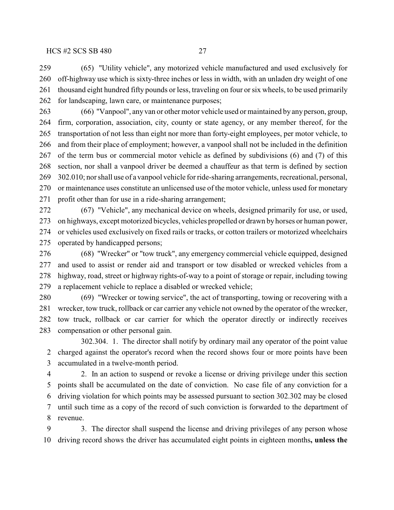(65) "Utility vehicle", any motorized vehicle manufactured and used exclusively for off-highway use which is sixty-three inches or less in width, with an unladen dry weight of one thousand eight hundred fifty pounds or less, traveling on four orsix wheels, to be used primarily for landscaping, lawn care, or maintenance purposes;

 (66) "Vanpool", any van or other motor vehicle used or maintained by any person, group, firm, corporation, association, city, county or state agency, or any member thereof, for the transportation of not less than eight nor more than forty-eight employees, per motor vehicle, to and from their place of employment; however, a vanpool shall not be included in the definition of the term bus or commercial motor vehicle as defined by subdivisions (6) and (7) of this section, nor shall a vanpool driver be deemed a chauffeur as that term is defined by section 302.010; nor shall use of a vanpool vehicle for ride-sharing arrangements, recreational, personal, or maintenance uses constitute an unlicensed use of the motor vehicle, unless used for monetary profit other than for use in a ride-sharing arrangement;

 (67) "Vehicle", any mechanical device on wheels, designed primarily for use, or used, on highways, except motorized bicycles, vehicles propelled or drawn by horses or human power, or vehicles used exclusively on fixed rails or tracks, or cotton trailers or motorized wheelchairs operated by handicapped persons;

 (68) "Wrecker" or "tow truck", any emergency commercial vehicle equipped, designed and used to assist or render aid and transport or tow disabled or wrecked vehicles from a highway, road, street or highway rights-of-way to a point of storage or repair, including towing a replacement vehicle to replace a disabled or wrecked vehicle;

 (69) "Wrecker or towing service", the act of transporting, towing or recovering with a wrecker, tow truck, rollback or car carrier any vehicle not owned by the operator of the wrecker, tow truck, rollback or car carrier for which the operator directly or indirectly receives compensation or other personal gain.

302.304. 1. The director shall notify by ordinary mail any operator of the point value charged against the operator's record when the record shows four or more points have been accumulated in a twelve-month period.

 2. In an action to suspend or revoke a license or driving privilege under this section points shall be accumulated on the date of conviction. No case file of any conviction for a driving violation for which points may be assessed pursuant to section 302.302 may be closed until such time as a copy of the record of such conviction is forwarded to the department of revenue.

 3. The director shall suspend the license and driving privileges of any person whose driving record shows the driver has accumulated eight points in eighteen months**, unless the**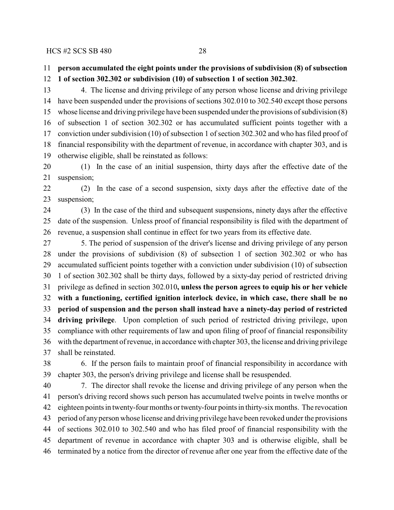# **person accumulated the eight points under the provisions of subdivision (8) of subsection**

**1 of section 302.302 or subdivision (10) of subsection 1 of section 302.302**.

 4. The license and driving privilege of any person whose license and driving privilege have been suspended under the provisions of sections 302.010 to 302.540 except those persons whose license and driving privilege have been suspended under the provisions of subdivision (8) of subsection 1 of section 302.302 or has accumulated sufficient points together with a conviction under subdivision (10) of subsection 1 of section 302.302 and who has filed proof of financial responsibility with the department of revenue, in accordance with chapter 303, and is otherwise eligible, shall be reinstated as follows:

 (1) In the case of an initial suspension, thirty days after the effective date of the suspension;

 (2) In the case of a second suspension, sixty days after the effective date of the suspension;

 (3) In the case of the third and subsequent suspensions, ninety days after the effective date of the suspension. Unless proof of financial responsibility is filed with the department of revenue, a suspension shall continue in effect for two years from its effective date.

 5. The period of suspension of the driver's license and driving privilege of any person under the provisions of subdivision (8) of subsection 1 of section 302.302 or who has accumulated sufficient points together with a conviction under subdivision (10) of subsection 1 of section 302.302 shall be thirty days, followed by a sixty-day period of restricted driving privilege as defined in section 302.010**, unless the person agrees to equip his or her vehicle with a functioning, certified ignition interlock device, in which case, there shall be no period of suspension and the person shall instead have a ninety-day period of restricted driving privilege**. Upon completion of such period of restricted driving privilege, upon compliance with other requirements of law and upon filing of proof of financial responsibility with the department of revenue, in accordance with chapter 303, the license and driving privilege shall be reinstated.

 6. If the person fails to maintain proof of financial responsibility in accordance with chapter 303, the person's driving privilege and license shall be resuspended.

 7. The director shall revoke the license and driving privilege of any person when the person's driving record shows such person has accumulated twelve points in twelve months or eighteen points in twenty-four months or twenty-four points in thirty-six months. The revocation period of any person whose license and driving privilege have been revoked under the provisions of sections 302.010 to 302.540 and who has filed proof of financial responsibility with the department of revenue in accordance with chapter 303 and is otherwise eligible, shall be terminated by a notice from the director of revenue after one year from the effective date of the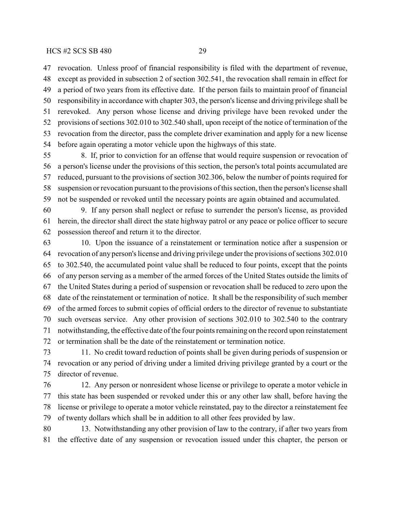revocation. Unless proof of financial responsibility is filed with the department of revenue, except as provided in subsection 2 of section 302.541, the revocation shall remain in effect for a period of two years from its effective date. If the person fails to maintain proof of financial responsibility in accordance with chapter 303, the person's license and driving privilege shall be rerevoked. Any person whose license and driving privilege have been revoked under the provisions of sections 302.010 to 302.540 shall, upon receipt of the notice of termination of the revocation from the director, pass the complete driver examination and apply for a new license before again operating a motor vehicle upon the highways of this state.

 8. If, prior to conviction for an offense that would require suspension or revocation of a person's license under the provisions of this section, the person's total points accumulated are reduced, pursuant to the provisions of section 302.306, below the number of points required for suspension or revocation pursuant to the provisions of thissection, then the person's license shall not be suspended or revoked until the necessary points are again obtained and accumulated.

 9. If any person shall neglect or refuse to surrender the person's license, as provided herein, the director shall direct the state highway patrol or any peace or police officer to secure possession thereof and return it to the director.

 10. Upon the issuance of a reinstatement or termination notice after a suspension or revocation of any person's license and driving privilege underthe provisions of sections 302.010 to 302.540, the accumulated point value shall be reduced to four points, except that the points of any person serving as a member of the armed forces of the United States outside the limits of the United States during a period of suspension or revocation shall be reduced to zero upon the date of the reinstatement or termination of notice. It shall be the responsibility of such member of the armed forces to submit copies of official orders to the director of revenue to substantiate such overseas service. Any other provision of sections 302.010 to 302.540 to the contrary notwithstanding, the effective date ofthe four points remaining on the record upon reinstatement or termination shall be the date of the reinstatement or termination notice.

 11. No credit toward reduction of points shall be given during periods of suspension or revocation or any period of driving under a limited driving privilege granted by a court or the director of revenue.

 12. Any person or nonresident whose license or privilege to operate a motor vehicle in this state has been suspended or revoked under this or any other law shall, before having the license or privilege to operate a motor vehicle reinstated, pay to the director a reinstatement fee of twenty dollars which shall be in addition to all other fees provided by law.

 13. Notwithstanding any other provision of law to the contrary, if after two years from the effective date of any suspension or revocation issued under this chapter, the person or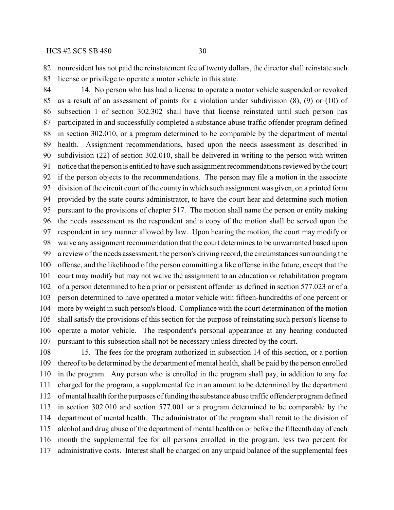nonresident has not paid the reinstatement fee of twenty dollars, the director shall reinstate such license or privilege to operate a motor vehicle in this state.

 14. No person who has had a license to operate a motor vehicle suspended or revoked as a result of an assessment of points for a violation under subdivision (8), (9) or (10) of subsection 1 of section 302.302 shall have that license reinstated until such person has participated in and successfully completed a substance abuse traffic offender program defined in section 302.010, or a program determined to be comparable by the department of mental health. Assignment recommendations, based upon the needs assessment as described in subdivision (22) of section 302.010, shall be delivered in writing to the person with written notice that the person is entitled to have such assignment recommendations reviewed by the court if the person objects to the recommendations. The person may file a motion in the associate division of the circuit court of the county in which such assignment was given, on a printed form provided by the state courts administrator, to have the court hear and determine such motion pursuant to the provisions of chapter 517. The motion shall name the person or entity making the needs assessment as the respondent and a copy of the motion shall be served upon the respondent in any manner allowed by law. Upon hearing the motion, the court may modify or waive any assignment recommendation that the court determines to be unwarranted based upon a review of the needs assessment, the person's driving record, the circumstances surrounding the offense, and the likelihood of the person committing a like offense in the future, except that the court may modify but may not waive the assignment to an education or rehabilitation program of a person determined to be a prior or persistent offender as defined in section 577.023 or of a person determined to have operated a motor vehicle with fifteen-hundredths of one percent or more by weight in such person's blood. Compliance with the court determination of the motion shall satisfy the provisions of this section for the purpose of reinstating such person's license to operate a motor vehicle. The respondent's personal appearance at any hearing conducted pursuant to this subsection shall not be necessary unless directed by the court.

 15. The fees for the program authorized in subsection 14 of this section, or a portion thereof to be determined by the department of mental health, shall be paid by the person enrolled in the program. Any person who is enrolled in the program shall pay, in addition to any fee charged for the program, a supplemental fee in an amount to be determined by the department of mental health for the purposes of funding the substance abuse traffic offender program defined in section 302.010 and section 577.001 or a program determined to be comparable by the department of mental health. The administrator of the program shall remit to the division of alcohol and drug abuse of the department of mental health on or before the fifteenth day of each month the supplemental fee for all persons enrolled in the program, less two percent for administrative costs. Interest shall be charged on any unpaid balance of the supplemental fees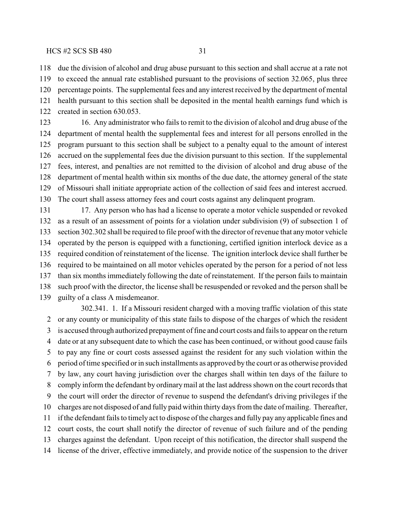### $HCS \sharp 2 \; SCS \; SB \; 480$  31

due the division of alcohol and drug abuse pursuant to this section and shall accrue at a rate not

 to exceed the annual rate established pursuant to the provisions of section 32.065, plus three percentage points. The supplemental fees and any interest received by the department of mental health pursuant to this section shall be deposited in the mental health earnings fund which is created in section 630.053.

 16. Any administrator who fails to remit to the division of alcohol and drug abuse of the department of mental health the supplemental fees and interest for all persons enrolled in the program pursuant to this section shall be subject to a penalty equal to the amount of interest accrued on the supplemental fees due the division pursuant to this section. If the supplemental fees, interest, and penalties are not remitted to the division of alcohol and drug abuse of the department of mental health within six months of the due date, the attorney general of the state of Missouri shall initiate appropriate action of the collection of said fees and interest accrued. The court shall assess attorney fees and court costs against any delinquent program.

 17. Any person who has had a license to operate a motor vehicle suspended or revoked as a result of an assessment of points for a violation under subdivision (9) of subsection 1 of section 302.302 shall be required to file proof with the director of revenue that any motor vehicle operated by the person is equipped with a functioning, certified ignition interlock device as a required condition of reinstatement of the license. The ignition interlock device shall further be required to be maintained on all motor vehicles operated by the person for a period of not less than six months immediately following the date of reinstatement. If the person fails to maintain such proof with the director, the license shall be resuspended or revoked and the person shall be guilty of a class A misdemeanor.

302.341. 1. If a Missouri resident charged with a moving traffic violation of this state or any county or municipality of this state fails to dispose of the charges of which the resident is accused through authorized prepayment of fine and court costs and fails to appear on the return date or at any subsequent date to which the case has been continued, or without good cause fails to pay any fine or court costs assessed against the resident for any such violation within the period of time specified or in such installments as approved by the court or as otherwise provided by law, any court having jurisdiction over the charges shall within ten days of the failure to comply inform the defendant by ordinary mail at the last address shown on the court records that the court will order the director of revenue to suspend the defendant's driving privileges if the charges are not disposed of and fully paid within thirty days from the date of mailing. Thereafter, if the defendant fails to timely act to dispose of the charges and fully pay any applicable fines and court costs, the court shall notify the director of revenue of such failure and of the pending charges against the defendant. Upon receipt of this notification, the director shall suspend the license of the driver, effective immediately, and provide notice of the suspension to the driver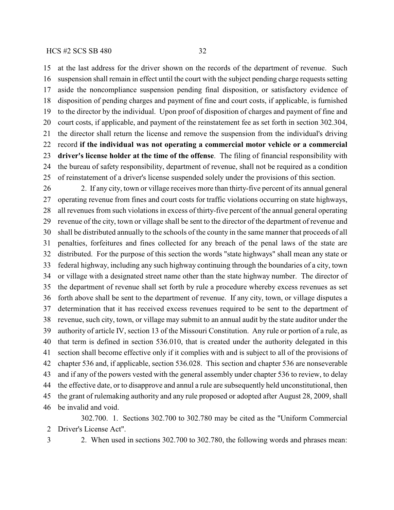at the last address for the driver shown on the records of the department of revenue. Such suspension shall remain in effect until the court with the subject pending charge requests setting aside the noncompliance suspension pending final disposition, or satisfactory evidence of disposition of pending charges and payment of fine and court costs, if applicable, is furnished to the director by the individual. Upon proof of disposition of charges and payment of fine and court costs, if applicable, and payment of the reinstatement fee as set forth in section 302.304, the director shall return the license and remove the suspension from the individual's driving record **if the individual was not operating a commercial motor vehicle or a commercial driver's license holder at the time of the offense**. The filing of financial responsibility with the bureau of safety responsibility, department of revenue, shall not be required as a condition of reinstatement of a driver's license suspended solely under the provisions of this section.

 2. If any city, town or village receives more than thirty-five percent of its annual general operating revenue from fines and court costs for traffic violations occurring on state highways, all revenues from such violations in excess of thirty-five percent of the annual general operating revenue of the city, town or village shall be sent to the director of the department of revenue and shall be distributed annually to the schools of the county in the same manner that proceeds of all penalties, forfeitures and fines collected for any breach of the penal laws of the state are distributed. For the purpose of this section the words "state highways" shall mean any state or federal highway, including any such highway continuing through the boundaries of a city, town or village with a designated street name other than the state highway number. The director of the department of revenue shall set forth by rule a procedure whereby excess revenues as set forth above shall be sent to the department of revenue. If any city, town, or village disputes a determination that it has received excess revenues required to be sent to the department of revenue, such city, town, or village may submit to an annual audit by the state auditor under the authority of article IV, section 13 of the Missouri Constitution. Any rule or portion of a rule, as that term is defined in section 536.010, that is created under the authority delegated in this section shall become effective only if it complies with and is subject to all of the provisions of chapter 536 and, if applicable, section 536.028. This section and chapter 536 are nonseverable and if any of the powers vested with the general assembly under chapter 536 to review, to delay the effective date, or to disapprove and annul a rule are subsequently held unconstitutional, then the grant of rulemaking authority and any rule proposed or adopted after August 28, 2009, shall be invalid and void.

302.700. 1. Sections 302.700 to 302.780 may be cited as the "Uniform Commercial Driver's License Act".

2. When used in sections 302.700 to 302.780, the following words and phrases mean: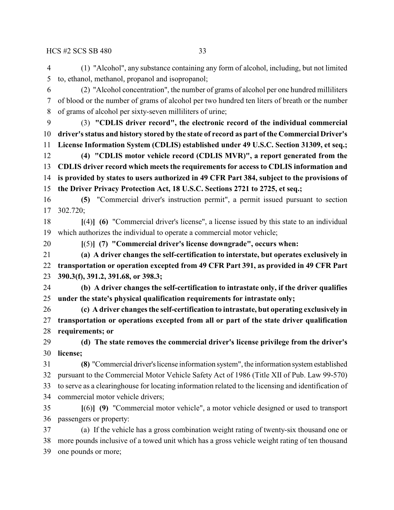(1) "Alcohol", any substance containing any form of alcohol, including, but not limited to, ethanol, methanol, propanol and isopropanol;

 (2) "Alcohol concentration", the number of grams of alcohol per one hundred milliliters of blood or the number of grams of alcohol per two hundred ten liters of breath or the number of grams of alcohol per sixty-seven milliliters of urine;

- (3) **"CDLIS driver record", the electronic record of the individual commercial driver's status and history stored by the state of record as part of the Commercial Driver's License Information System (CDLIS) established under 49 U.S.C. Section 31309, et seq.;**
- **(4) "CDLIS motor vehicle record (CDLIS MVR)", a report generated from the CDLIS driver record which meetsthe requirements for access to CDLIS information and is provided by states to users authorized in 49 CFR Part 384, subject to the provisions of the Driver Privacy Protection Act, 18 U.S.C. Sections 2721 to 2725, et seq.;**

 **(5)** "Commercial driver's instruction permit", a permit issued pursuant to section 302.720;

 **[**(4)**] (6)** "Commercial driver's license", a license issued by this state to an individual which authorizes the individual to operate a commercial motor vehicle;

**[**(5)**] (7) "Commercial driver's license downgrade", occurs when:**

 **(a) A driver changes the self-certification to interstate, but operates exclusively in transportation or operation excepted from 49 CFR Part 391, as provided in 49 CFR Part 390.3(f), 391.2, 391.68, or 398.3;**

 **(b) A driver changes the self-certification to intrastate only, if the driver qualifies under the state's physical qualification requirements for intrastate only;**

 **(c) A driver changes the self-certification to intrastate, but operating exclusively in transportation or operations excepted from all or part of the state driver qualification requirements; or**

 **(d) The state removes the commercial driver's license privilege from the driver's license;**

 **(8)** "Commercial driver's license information system", the information system established pursuant to the Commercial Motor Vehicle Safety Act of 1986 (Title XII of Pub. Law 99-570) to serve as a clearinghouse for locating information related to the licensing and identification of commercial motor vehicle drivers;

 **[**(6)**] (9)** "Commercial motor vehicle", a motor vehicle designed or used to transport passengers or property:

 (a) If the vehicle has a gross combination weight rating of twenty-six thousand one or more pounds inclusive of a towed unit which has a gross vehicle weight rating of ten thousand one pounds or more;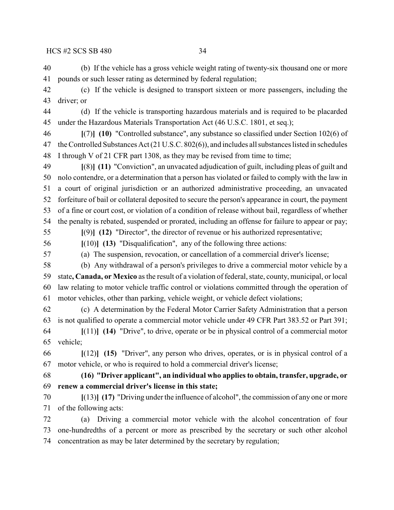(b) If the vehicle has a gross vehicle weight rating of twenty-six thousand one or more pounds or such lesser rating as determined by federal regulation;

 (c) If the vehicle is designed to transport sixteen or more passengers, including the driver; or

 (d) If the vehicle is transporting hazardous materials and is required to be placarded under the Hazardous Materials Transportation Act (46 U.S.C. 1801, et seq.);

 **[**(7)**] (10)** "Controlled substance", any substance so classified under Section 102(6) of the Controlled Substances Act (21 U.S.C. 802(6)), and includes all substances listed in schedules I through V of 21 CFR part 1308, as they may be revised from time to time;

 **[**(8)**] (11)** "Conviction", an unvacated adjudication of guilt, including pleas of guilt and nolo contendre, or a determination that a person has violated or failed to comply with the law in a court of original jurisdiction or an authorized administrative proceeding, an unvacated forfeiture of bail or collateral deposited to secure the person's appearance in court, the payment of a fine or court cost, or violation of a condition of release without bail, regardless of whether the penalty is rebated, suspended or prorated, including an offense for failure to appear or pay; **[**(9)**] (12)** "Director", the director of revenue or his authorized representative;

**[**(10)**] (13)** "Disqualification", any of the following three actions:

(a) The suspension, revocation, or cancellation of a commercial driver's license;

 (b) Any withdrawal of a person's privileges to drive a commercial motor vehicle by a state**, Canada, or Mexico** as the result of a violation offederal, state, county, municipal, or local law relating to motor vehicle traffic control or violations committed through the operation of motor vehicles, other than parking, vehicle weight, or vehicle defect violations;

 (c) A determination by the Federal Motor Carrier Safety Administration that a person is not qualified to operate a commercial motor vehicle under 49 CFR Part 383.52 or Part 391;

 **[**(11)**] (14)** "Drive", to drive, operate or be in physical control of a commercial motor vehicle;

 **[**(12)**] (15)** "Driver", any person who drives, operates, or is in physical control of a motor vehicle, or who is required to hold a commercial driver's license;

 **(16) "Driver applicant", an individual who applies to obtain, transfer, upgrade, or renew a commercial driver's license in this state;**

 **[**(13)**] (17)** "Driving under the influence of alcohol", the commission of any one or more of the following acts:

 (a) Driving a commercial motor vehicle with the alcohol concentration of four one-hundredths of a percent or more as prescribed by the secretary or such other alcohol concentration as may be later determined by the secretary by regulation;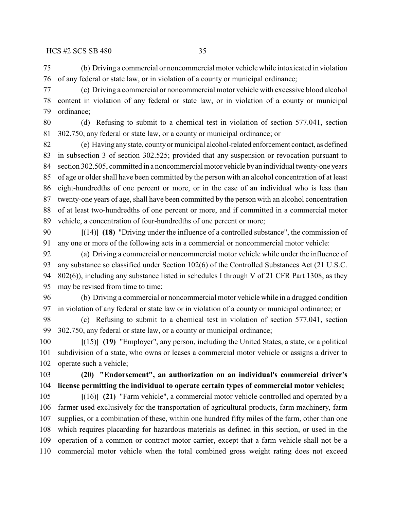(b) Driving a commercial or noncommercial motor vehicle while intoxicated in violation of any federal or state law, or in violation of a county or municipal ordinance;

 (c) Driving a commercial or noncommercial motor vehicle with excessive blood alcohol content in violation of any federal or state law, or in violation of a county or municipal ordinance;

 (d) Refusing to submit to a chemical test in violation of section 577.041, section 302.750, any federal or state law, or a county or municipal ordinance; or

 (e) Having any state, county or municipal alcohol-related enforcement contact, as defined in subsection 3 of section 302.525; provided that any suspension or revocation pursuant to section 302.505, committed in a noncommercial motor vehicle by an individual twenty-one years of age or older shall have been committed by the person with an alcohol concentration of at least eight-hundredths of one percent or more, or in the case of an individual who is less than twenty-one years of age, shall have been committed by the person with an alcohol concentration of at least two-hundredths of one percent or more, and if committed in a commercial motor vehicle, a concentration of four-hundredths of one percent or more;

 **[**(14)**] (18)** "Driving under the influence of a controlled substance", the commission of any one or more of the following acts in a commercial or noncommercial motor vehicle:

 (a) Driving a commercial or noncommercial motor vehicle while under the influence of any substance so classified under Section 102(6) of the Controlled Substances Act (21 U.S.C. 802(6)), including any substance listed in schedules I through V of 21 CFR Part 1308, as they may be revised from time to time;

 (b) Driving a commercial or noncommercial motor vehicle while in a drugged condition in violation of any federal or state law or in violation of a county or municipal ordinance; or

 (c) Refusing to submit to a chemical test in violation of section 577.041, section 302.750, any federal or state law, or a county or municipal ordinance;

 **[**(15)**] (19)** "Employer", any person, including the United States, a state, or a political subdivision of a state, who owns or leases a commercial motor vehicle or assigns a driver to operate such a vehicle;

 **(20) "Endorsement", an authorization on an individual's commercial driver's license permitting the individual to operate certain types of commercial motor vehicles;**

 **[**(16)**] (21)** "Farm vehicle", a commercial motor vehicle controlled and operated by a farmer used exclusively for the transportation of agricultural products, farm machinery, farm supplies, or a combination of these, within one hundred fifty miles of the farm, other than one which requires placarding for hazardous materials as defined in this section, or used in the operation of a common or contract motor carrier, except that a farm vehicle shall not be a commercial motor vehicle when the total combined gross weight rating does not exceed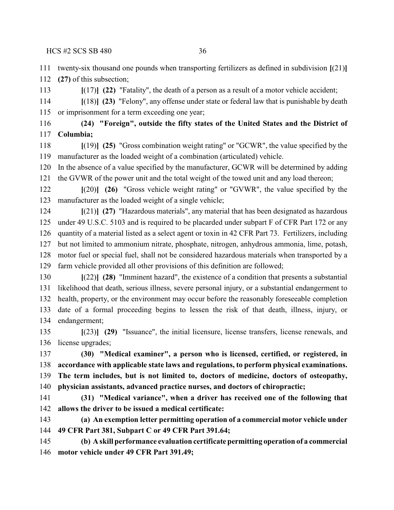twenty-six thousand one pounds when transporting fertilizers as defined in subdivision **[**(21)**]**

**(27)** of this subsection;

**[**(17)**] (22)** "Fatality", the death of a person as a result of a motor vehicle accident;

 **[**(18)**] (23)** "Felony", any offense under state or federal law that is punishable by death or imprisonment for a term exceeding one year;

 **(24) "Foreign", outside the fifty states of the United States and the District of Columbia;**

 **[**(19)**] (25)** "Gross combination weight rating" or "GCWR", the value specified by the manufacturer as the loaded weight of a combination (articulated) vehicle.

 In the absence of a value specified by the manufacturer, GCWR will be determined by adding the GVWR of the power unit and the total weight of the towed unit and any load thereon;

 **[**(20)**] (26)** "Gross vehicle weight rating" or "GVWR", the value specified by the manufacturer as the loaded weight of a single vehicle;

 **[**(21)**] (27)** "Hazardous materials", any material that has been designated as hazardous under 49 U.S.C. 5103 and is required to be placarded under subpart F of CFR Part 172 or any quantity of a material listed as a select agent or toxin in 42 CFR Part 73. Fertilizers, including but not limited to ammonium nitrate, phosphate, nitrogen, anhydrous ammonia, lime, potash, motor fuel or special fuel, shall not be considered hazardous materials when transported by a farm vehicle provided all other provisions of this definition are followed;

 **[**(22)**] (28)** "Imminent hazard", the existence of a condition that presents a substantial likelihood that death, serious illness, severe personal injury, or a substantial endangerment to health, property, or the environment may occur before the reasonably foreseeable completion date of a formal proceeding begins to lessen the risk of that death, illness, injury, or endangerment;

 **[**(23)**] (29)** "Issuance", the initial licensure, license transfers, license renewals, and license upgrades;

 **(30) "Medical examiner", a person who is licensed, certified, or registered, in accordance with applicable state laws and regulations, to perform physical examinations. The term includes, but is not limited to, doctors of medicine, doctors of osteopathy, physician assistants, advanced practice nurses, and doctors of chiropractic;**

 **(31) "Medical variance", when a driver has received one of the following that allows the driver to be issued a medical certificate:**

 **(a) An exemption letter permitting operation of a commercial motor vehicle under 49 CFR Part 381, Subpart C or 49 CFR Part 391.64;**

 **(b) A skill performance evaluation certificate permitting operation of a commercial motor vehicle under 49 CFR Part 391.49;**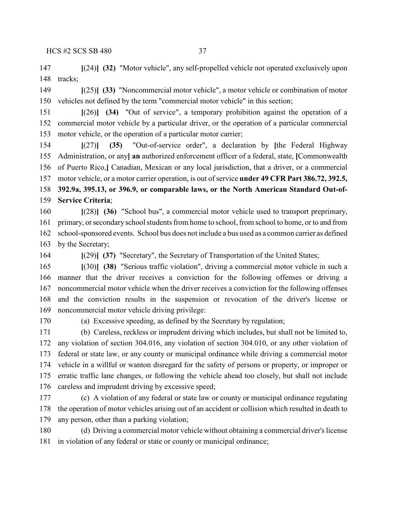**[**(24)**] (32)** "Motor vehicle", any self-propelled vehicle not operated exclusively upon tracks;

 **[**(25)**] (33)** "Noncommercial motor vehicle", a motor vehicle or combination of motor vehicles not defined by the term "commercial motor vehicle" in this section;

 **[**(26)**] (34)** "Out of service", a temporary prohibition against the operation of a commercial motor vehicle by a particular driver, or the operation of a particular commercial motor vehicle, or the operation of a particular motor carrier;

 **[**(27)**] (35)** "Out-of-service order", a declaration by **[**the Federal Highway Administration, or any**] an** authorized enforcement officer of a federal, state, **[**Commonwealth of Puerto Rico,**]** Canadian, Mexican or any local jurisdiction, that a driver, or a commercial motor vehicle, or a motor carrier operation, is out of service **under 49 CFR Part 386.72, 392.5, 392.9a, 395.13, or 396.9, or comparable laws, or the North American Standard Out-of-Service Criteria**;

 **[**(28)**] (36)** "School bus", a commercial motor vehicle used to transport preprimary, primary, or secondary school students from home to school, from school to home, or to and from school-sponsored events. School bus does not include a bus used as a common carrier as defined by the Secretary;

**[**(29)**] (37)** "Secretary", the Secretary of Transportation of the United States;

 **[**(30)**] (38)** "Serious traffic violation", driving a commercial motor vehicle in such a manner that the driver receives a conviction for the following offenses or driving a noncommercial motor vehicle when the driver receives a conviction for the following offenses and the conviction results in the suspension or revocation of the driver's license or noncommercial motor vehicle driving privilege:

(a) Excessive speeding, as defined by the Secretary by regulation;

 (b) Careless, reckless or imprudent driving which includes, but shall not be limited to, any violation of section 304.016, any violation of section 304.010, or any other violation of federal or state law, or any county or municipal ordinance while driving a commercial motor vehicle in a willful or wanton disregard for the safety of persons or property, or improper or erratic traffic lane changes, or following the vehicle ahead too closely, but shall not include careless and imprudent driving by excessive speed;

 (c) A violation of any federal or state law or county or municipal ordinance regulating the operation of motor vehicles arising out of an accident or collision which resulted in death to any person, other than a parking violation;

 (d) Driving a commercial motor vehicle without obtaining a commercial driver's license in violation of any federal or state or county or municipal ordinance;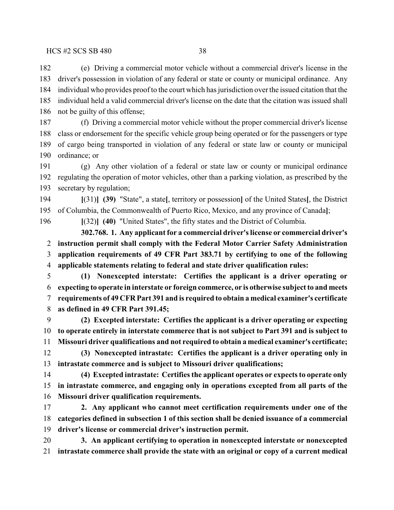(e) Driving a commercial motor vehicle without a commercial driver's license in the driver's possession in violation of any federal or state or county or municipal ordinance. Any individual who provides proof to the court which has jurisdiction over the issued citation that the individual held a valid commercial driver's license on the date that the citation was issued shall not be guilty of this offense;

 (f) Driving a commercial motor vehicle without the proper commercial driver's license class or endorsement for the specific vehicle group being operated or for the passengers or type of cargo being transported in violation of any federal or state law or county or municipal ordinance; or

 (g) Any other violation of a federal or state law or county or municipal ordinance regulating the operation of motor vehicles, other than a parking violation, as prescribed by the secretary by regulation;

 **[**(31)**] (39)** "State", a state**[**, territory or possession**]** of the United States**[**, the District of Columbia, the Commonwealth of Puerto Rico, Mexico, and any province of Canada**]**;

**[**(32)**] (40)** "United States", the fifty states and the District of Columbia.

**302.768. 1. Any applicant for a commercial driver's license or commercial driver's instruction permit shall comply with the Federal Motor Carrier Safety Administration application requirements of 49 CFR Part 383.71 by certifying to one of the following applicable statements relating to federal and state driver qualification rules:**

 **(1) Nonexcepted interstate: Certifies the applicant is a driver operating or expecting to operate in interstate or foreign commerce, or is otherwise subject to and meets requirements of 49 CFR Part 391 and is required to obtain a medical examiner's certificate as defined in 49 CFR Part 391.45;**

 **(2) Excepted interstate: Certifies the applicant is a driver operating or expecting to operate entirely in interstate commerce that is not subject to Part 391 and is subject to Missouri driver qualifications and not required to obtain a medical examiner's certificate;**

 **(3) Nonexcepted intrastate: Certifies the applicant is a driver operating only in intrastate commerce and is subject to Missouri driver qualifications;**

 **(4) Excepted intrastate: Certifies the applicant operates or expects to operate only in intrastate commerce, and engaging only in operations excepted from all parts of the Missouri driver qualification requirements.**

 **2. Any applicant who cannot meet certification requirements under one of the categories defined in subsection 1 of this section shall be denied issuance of a commercial driver's license or commercial driver's instruction permit.**

 **3. An applicant certifying to operation in nonexcepted interstate or nonexcepted intrastate commerce shall provide the state with an original or copy of a current medical**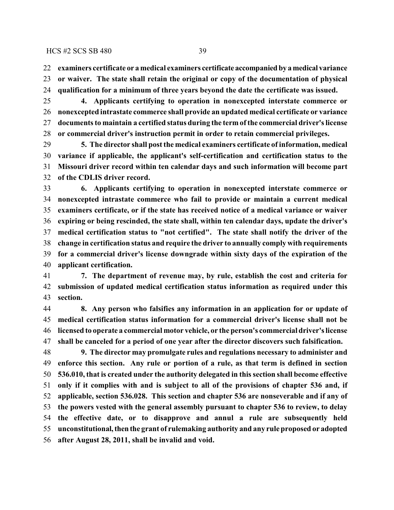**examiners certificate or a medical examiners certificate accompanied by a medical variance or waiver. The state shall retain the original or copy of the documentation of physical qualification for a minimum of three years beyond the date the certificate was issued.**

 **4. Applicants certifying to operation in nonexcepted interstate commerce or nonexcepted intrastate commerce shall provide an updated medical certificate or variance documents to maintain a certified status during the term of the commercial driver's license or commercial driver's instruction permit in order to retain commercial privileges.**

 **5. The director shall post the medical examiners certificate of information, medical variance if applicable, the applicant's self-certification and certification status to the Missouri driver record within ten calendar days and such information will become part of the CDLIS driver record.**

 **6. Applicants certifying to operation in nonexcepted interstate commerce or nonexcepted intrastate commerce who fail to provide or maintain a current medical examiners certificate, or if the state has received notice of a medical variance or waiver expiring or being rescinded, the state shall, within ten calendar days, update the driver's medical certification status to "not certified". The state shall notify the driver of the change in certification status and require the driver to annually comply with requirements for a commercial driver's license downgrade within sixty days of the expiration of the applicant certification.**

 **7. The department of revenue may, by rule, establish the cost and criteria for submission of updated medical certification status information as required under this section.**

 **8. Any person who falsifies any information in an application for or update of medical certification status information for a commercial driver's license shall not be licensed to operate a commercial motor vehicle, or the person's commercial driver's license shall be canceled for a period of one year after the director discovers such falsification.**

 **9. The director may promulgate rules and regulations necessary to administer and enforce this section. Any rule or portion of a rule, as that term is defined in section 536.010, that is created under the authority delegated in this section shall become effective only if it complies with and is subject to all of the provisions of chapter 536 and, if applicable, section 536.028. This section and chapter 536 are nonseverable and if any of the powers vested with the general assembly pursuant to chapter 536 to review, to delay the effective date, or to disapprove and annul a rule are subsequently held unconstitutional, then the grant of rulemaking authority and any rule proposed or adopted after August 28, 2011, shall be invalid and void.**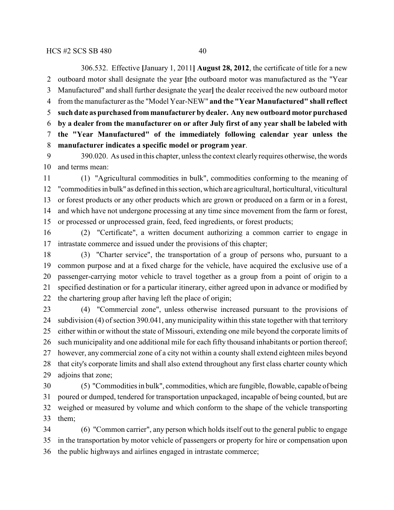306.532. Effective **[**January 1, 2011**] August 28, 2012**, the certificate of title for a new outboard motor shall designate the year **[**the outboard motor was manufactured as the "Year Manufactured" and shall further designate the year**]** the dealer received the new outboard motor from the manufacturer as the "Model Year-NEW" **and the "Year Manufactured" shall reflect such date as purchased from manufacturer by dealer. Any new outboard motor purchased by a dealer from the manufacturer on or after July first of any year shall be labeled with the "Year Manufactured" of the immediately following calendar year unless the manufacturer indicates a specific model or program year**.

 390.020. As used in this chapter, unless the context clearly requires otherwise, the words and terms mean:

 (1) "Agricultural commodities in bulk", commodities conforming to the meaning of "commodities in bulk" as defined in this section, which are agricultural, horticultural, viticultural or forest products or any other products which are grown or produced on a farm or in a forest, and which have not undergone processing at any time since movement from the farm or forest, or processed or unprocessed grain, feed, feed ingredients, or forest products;

 (2) "Certificate", a written document authorizing a common carrier to engage in intrastate commerce and issued under the provisions of this chapter;

 (3) "Charter service", the transportation of a group of persons who, pursuant to a common purpose and at a fixed charge for the vehicle, have acquired the exclusive use of a passenger-carrying motor vehicle to travel together as a group from a point of origin to a specified destination or for a particular itinerary, either agreed upon in advance or modified by the chartering group after having left the place of origin;

 (4) "Commercial zone", unless otherwise increased pursuant to the provisions of subdivision (4) of section 390.041, any municipality within this state together with that territory either within or without the state of Missouri, extending one mile beyond the corporate limits of such municipality and one additional mile for each fifty thousand inhabitants or portion thereof; however, any commercial zone of a city not within a county shall extend eighteen miles beyond that city's corporate limits and shall also extend throughout any first class charter county which adjoins that zone;

 (5) "Commodities in bulk", commodities, which are fungible, flowable, capable of being poured or dumped, tendered for transportation unpackaged, incapable of being counted, but are weighed or measured by volume and which conform to the shape of the vehicle transporting them;

 (6) "Common carrier", any person which holds itself out to the general public to engage in the transportation by motor vehicle of passengers or property for hire or compensation upon the public highways and airlines engaged in intrastate commerce;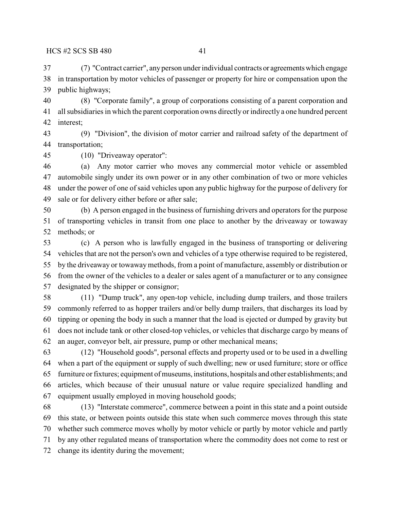(7) "Contract carrier", any person under individual contracts or agreements which engage in transportation by motor vehicles of passenger or property for hire or compensation upon the public highways;

 (8) "Corporate family", a group of corporations consisting of a parent corporation and all subsidiaries in which the parent corporation owns directly orindirectly a one hundred percent interest;

 (9) "Division", the division of motor carrier and railroad safety of the department of transportation;

(10) "Driveaway operator":

 (a) Any motor carrier who moves any commercial motor vehicle or assembled automobile singly under its own power or in any other combination of two or more vehicles under the power of one ofsaid vehicles upon any public highway for the purpose of delivery for sale or for delivery either before or after sale;

 (b) A person engaged in the business of furnishing drivers and operators for the purpose of transporting vehicles in transit from one place to another by the driveaway or towaway methods; or

 (c) A person who is lawfully engaged in the business of transporting or delivering vehicles that are not the person's own and vehicles of a type otherwise required to be registered, by the driveaway or towaway methods, from a point of manufacture, assembly or distribution or from the owner of the vehicles to a dealer or sales agent of a manufacturer or to any consignee designated by the shipper or consignor;

 (11) "Dump truck", any open-top vehicle, including dump trailers, and those trailers commonly referred to as hopper trailers and/or belly dump trailers, that discharges its load by tipping or opening the body in such a manner that the load is ejected or dumped by gravity but does not include tank or other closed-top vehicles, or vehicles that discharge cargo by means of an auger, conveyor belt, air pressure, pump or other mechanical means;

 (12) "Household goods", personal effects and property used or to be used in a dwelling when a part of the equipment or supply of such dwelling; new or used furniture; store or office furniture or fixtures; equipment of museums, institutions, hospitals and other establishments; and articles, which because of their unusual nature or value require specialized handling and equipment usually employed in moving household goods;

 (13) "Interstate commerce", commerce between a point in this state and a point outside this state, or between points outside this state when such commerce moves through this state whether such commerce moves wholly by motor vehicle or partly by motor vehicle and partly by any other regulated means of transportation where the commodity does not come to rest or change its identity during the movement;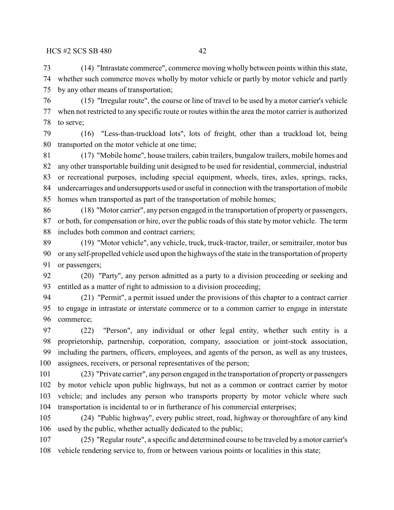(14) "Intrastate commerce", commerce moving wholly between points within this state, whether such commerce moves wholly by motor vehicle or partly by motor vehicle and partly by any other means of transportation;

 (15) "Irregular route", the course or line of travel to be used by a motor carrier's vehicle when not restricted to any specific route or routes within the area the motor carrier is authorized to serve;

 (16) "Less-than-truckload lots", lots of freight, other than a truckload lot, being transported on the motor vehicle at one time;

 (17) "Mobile home", house trailers, cabin trailers, bungalow trailers, mobile homes and any other transportable building unit designed to be used for residential, commercial, industrial or recreational purposes, including special equipment, wheels, tires, axles, springs, racks, undercarriages and undersupports used or useful in connection with the transportation of mobile homes when transported as part of the transportation of mobile homes;

 (18) "Motor carrier", any person engaged in the transportation of property or passengers, or both, for compensation or hire, over the public roads of this state by motor vehicle. The term includes both common and contract carriers;

 (19) "Motor vehicle", any vehicle, truck, truck-tractor, trailer, or semitrailer, motor bus or any self-propelled vehicle used upon the highways of the state in the transportation of property 91 or passengers;

 (20) "Party", any person admitted as a party to a division proceeding or seeking and entitled as a matter of right to admission to a division proceeding;

 (21) "Permit", a permit issued under the provisions of this chapter to a contract carrier to engage in intrastate or interstate commerce or to a common carrier to engage in interstate commerce;

 (22) "Person", any individual or other legal entity, whether such entity is a proprietorship, partnership, corporation, company, association or joint-stock association, including the partners, officers, employees, and agents of the person, as well as any trustees, assignees, receivers, or personal representatives of the person;

 (23) "Private carrier", any person engaged in the transportation of property or passengers by motor vehicle upon public highways, but not as a common or contract carrier by motor vehicle; and includes any person who transports property by motor vehicle where such transportation is incidental to or in furtherance of his commercial enterprises;

 (24) "Public highway", every public street, road, highway or thoroughfare of any kind used by the public, whether actually dedicated to the public;

 (25) "Regular route", a specific and determined course to be traveled by a motor carrier's vehicle rendering service to, from or between various points or localities in this state;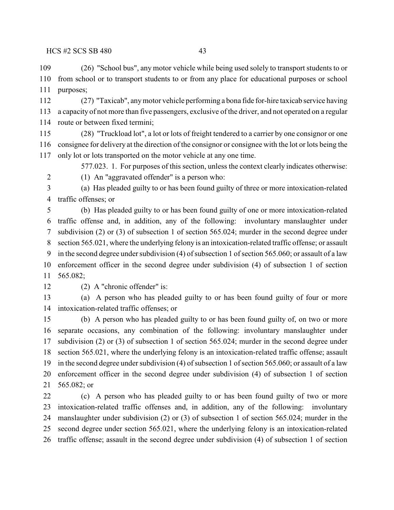(26) "School bus", any motor vehicle while being used solely to transport students to or from school or to transport students to or from any place for educational purposes or school purposes;

 (27) "Taxicab", any motor vehicle performing a bona fide for-hire taxicab service having a capacity of not more than five passengers, exclusive ofthe driver, and not operated on a regular route or between fixed termini;

 (28) "Truckload lot", a lot or lots of freight tendered to a carrier by one consignor or one consignee for delivery at the direction of the consignor or consignee with the lot or lots being the only lot or lots transported on the motor vehicle at any one time.

577.023. 1. For purposes of this section, unless the context clearly indicates otherwise:

(1) An "aggravated offender" is a person who:

 (a) Has pleaded guilty to or has been found guilty of three or more intoxication-related traffic offenses; or

 (b) Has pleaded guilty to or has been found guilty of one or more intoxication-related traffic offense and, in addition, any of the following: involuntary manslaughter under subdivision (2) or (3) of subsection 1 of section 565.024; murder in the second degree under section 565.021, where the underlying felony is an intoxication-related traffic offense; or assault in the second degree under subdivision (4) of subsection 1 of section 565.060; or assault of a law enforcement officer in the second degree under subdivision (4) of subsection 1 of section 565.082;

(2) A "chronic offender" is:

 (a) A person who has pleaded guilty to or has been found guilty of four or more intoxication-related traffic offenses; or

 (b) A person who has pleaded guilty to or has been found guilty of, on two or more separate occasions, any combination of the following: involuntary manslaughter under subdivision (2) or (3) of subsection 1 of section 565.024; murder in the second degree under section 565.021, where the underlying felony is an intoxication-related traffic offense; assault in the second degree under subdivision (4) of subsection 1 of section 565.060; or assault of a law enforcement officer in the second degree under subdivision (4) of subsection 1 of section 565.082; or

 (c) A person who has pleaded guilty to or has been found guilty of two or more intoxication-related traffic offenses and, in addition, any of the following: involuntary manslaughter under subdivision (2) or (3) of subsection 1 of section 565.024; murder in the second degree under section 565.021, where the underlying felony is an intoxication-related traffic offense; assault in the second degree under subdivision (4) of subsection 1 of section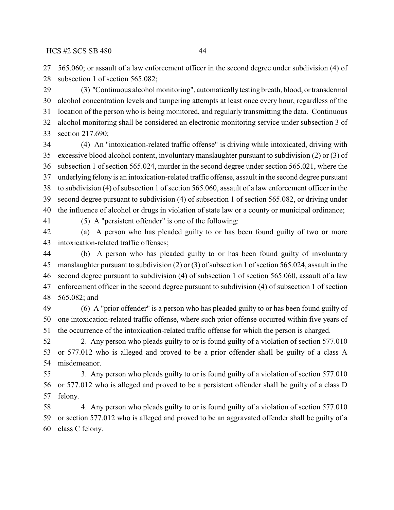565.060; or assault of a law enforcement officer in the second degree under subdivision (4) of subsection 1 of section 565.082;

 (3) "Continuous alcohol monitoring", automatically testing breath, blood, or transdermal alcohol concentration levels and tampering attempts at least once every hour, regardless of the location of the person who is being monitored, and regularly transmitting the data. Continuous alcohol monitoring shall be considered an electronic monitoring service under subsection 3 of section 217.690;

 (4) An "intoxication-related traffic offense" is driving while intoxicated, driving with excessive blood alcohol content, involuntary manslaughter pursuant to subdivision (2) or (3) of subsection 1 of section 565.024, murder in the second degree under section 565.021, where the underlying felony is an intoxication-related traffic offense, assault in the second degree pursuant to subdivision (4) of subsection 1 of section 565.060, assault of a law enforcement officer in the second degree pursuant to subdivision (4) of subsection 1 of section 565.082, or driving under the influence of alcohol or drugs in violation of state law or a county or municipal ordinance;

- 
- (5) A "persistent offender" is one of the following:

 (a) A person who has pleaded guilty to or has been found guilty of two or more intoxication-related traffic offenses;

 (b) A person who has pleaded guilty to or has been found guilty of involuntary manslaughter pursuant to subdivision (2) or (3) of subsection 1 of section 565.024, assault in the second degree pursuant to subdivision (4) of subsection 1 of section 565.060, assault of a law enforcement officer in the second degree pursuant to subdivision (4) of subsection 1 of section 565.082; and

 (6) A "prior offender" is a person who has pleaded guilty to or has been found guilty of one intoxication-related traffic offense, where such prior offense occurred within five years of the occurrence of the intoxication-related traffic offense for which the person is charged.

 2. Any person who pleads guilty to or is found guilty of a violation of section 577.010 or 577.012 who is alleged and proved to be a prior offender shall be guilty of a class A misdemeanor.

 3. Any person who pleads guilty to or is found guilty of a violation of section 577.010 or 577.012 who is alleged and proved to be a persistent offender shall be guilty of a class D felony.

 4. Any person who pleads guilty to or is found guilty of a violation of section 577.010 or section 577.012 who is alleged and proved to be an aggravated offender shall be guilty of a class C felony.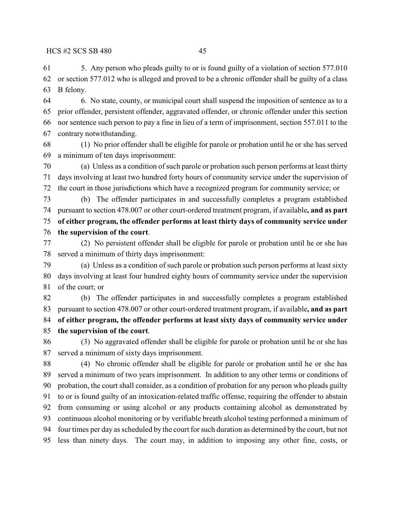5. Any person who pleads guilty to or is found guilty of a violation of section 577.010 or section 577.012 who is alleged and proved to be a chronic offender shall be guilty of a class B felony.

 6. No state, county, or municipal court shall suspend the imposition of sentence as to a prior offender, persistent offender, aggravated offender, or chronic offender under this section nor sentence such person to pay a fine in lieu of a term of imprisonment, section 557.011 to the contrary notwithstanding.

 (1) No prior offender shall be eligible for parole or probation until he or she has served a minimum of ten days imprisonment:

 (a) Unless as a condition of such parole or probation such person performs at least thirty days involving at least two hundred forty hours of community service under the supervision of the court in those jurisdictions which have a recognized program for community service; or

 (b) The offender participates in and successfully completes a program established pursuant to section 478.007 or other court-ordered treatment program, if available**, and as part of either program, the offender performs at least thirty days of community service under the supervision of the court**.

 (2) No persistent offender shall be eligible for parole or probation until he or she has served a minimum of thirty days imprisonment:

 (a) Unless as a condition of such parole or probation such person performs at least sixty days involving at least four hundred eighty hours of community service under the supervision of the court; or

 (b) The offender participates in and successfully completes a program established pursuant to section 478.007 or other court-ordered treatment program, if available**, and as part of either program, the offender performs at least sixty days of community service under the supervision of the court**.

 (3) No aggravated offender shall be eligible for parole or probation until he or she has served a minimum of sixty days imprisonment.

 (4) No chronic offender shall be eligible for parole or probation until he or she has served a minimum of two years imprisonment. In addition to any other terms or conditions of probation, the court shall consider, as a condition of probation for any person who pleads guilty to or is found guilty of an intoxication-related traffic offense, requiring the offender to abstain from consuming or using alcohol or any products containing alcohol as demonstrated by continuous alcohol monitoring or by verifiable breath alcohol testing performed a minimum of four times per day as scheduled by the court for such duration as determined by the court, but not less than ninety days. The court may, in addition to imposing any other fine, costs, or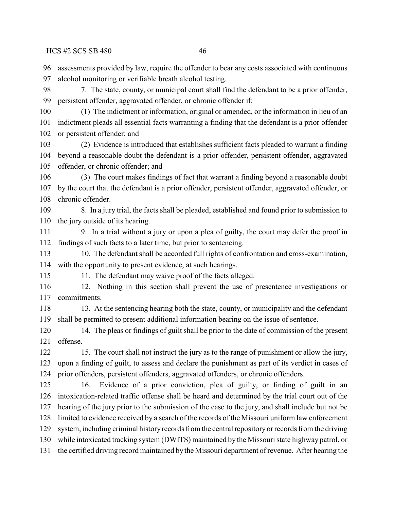assessments provided by law, require the offender to bear any costs associated with continuous

 alcohol monitoring or verifiable breath alcohol testing. 7. The state, county, or municipal court shall find the defendant to be a prior offender, persistent offender, aggravated offender, or chronic offender if: (1) The indictment or information, original or amended, or the information in lieu of an indictment pleads all essential facts warranting a finding that the defendant is a prior offender or persistent offender; and (2) Evidence is introduced that establishes sufficient facts pleaded to warrant a finding beyond a reasonable doubt the defendant is a prior offender, persistent offender, aggravated offender, or chronic offender; and

 (3) The court makes findings of fact that warrant a finding beyond a reasonable doubt by the court that the defendant is a prior offender, persistent offender, aggravated offender, or chronic offender.

 8. In a jury trial, the facts shall be pleaded, established and found prior to submission to the jury outside of its hearing.

 9. In a trial without a jury or upon a plea of guilty, the court may defer the proof in findings of such facts to a later time, but prior to sentencing.

 10. The defendant shall be accorded full rights of confrontation and cross-examination, with the opportunity to present evidence, at such hearings.

115 11. The defendant may waive proof of the facts alleged.

 12. Nothing in this section shall prevent the use of presentence investigations or commitments.

118 13. At the sentencing hearing both the state, county, or municipality and the defendant shall be permitted to present additional information bearing on the issue of sentence.

 14. The pleas or findings of guilt shall be prior to the date of commission of the present offense.

 15. The court shall not instruct the jury as to the range of punishment or allow the jury, upon a finding of guilt, to assess and declare the punishment as part of its verdict in cases of prior offenders, persistent offenders, aggravated offenders, or chronic offenders.

 16. Evidence of a prior conviction, plea of guilty, or finding of guilt in an intoxication-related traffic offense shall be heard and determined by the trial court out of the hearing of the jury prior to the submission of the case to the jury, and shall include but not be limited to evidence received by a search of the records of the Missouri uniform law enforcement 129 system, including criminal history records from the central repository or records from the driving while intoxicated tracking system (DWITS) maintained by the Missouri state highway patrol, or the certified driving record maintained by the Missouri department of revenue. After hearing the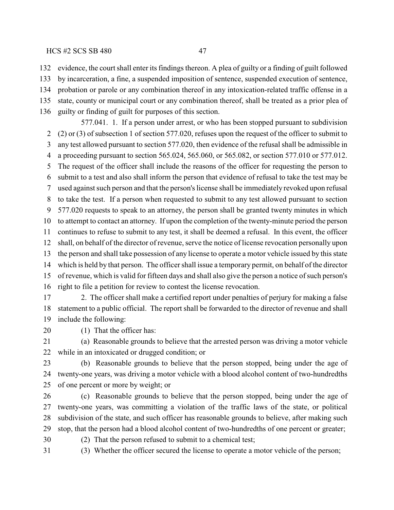evidence, the court shall enter its findings thereon. A plea of guilty or a finding of guilt followed

by incarceration, a fine, a suspended imposition of sentence, suspended execution of sentence,

probation or parole or any combination thereof in any intoxication-related traffic offense in a

state, county or municipal court or any combination thereof, shall be treated as a prior plea of

guilty or finding of guilt for purposes of this section.

577.041. 1. If a person under arrest, or who has been stopped pursuant to subdivision (2) or (3) of subsection 1 of section 577.020, refuses upon the request of the officer to submit to any test allowed pursuant to section 577.020, then evidence of the refusal shall be admissible in a proceeding pursuant to section 565.024, 565.060, or 565.082, or section 577.010 or 577.012. The request of the officer shall include the reasons of the officer for requesting the person to submit to a test and also shall inform the person that evidence of refusal to take the test may be used against such person and that the person's license shall be immediately revoked upon refusal to take the test. If a person when requested to submit to any test allowed pursuant to section 577.020 requests to speak to an attorney, the person shall be granted twenty minutes in which to attempt to contact an attorney. If upon the completion of the twenty-minute period the person continues to refuse to submit to any test, it shall be deemed a refusal. In this event, the officer shall, on behalf of the director of revenue, serve the notice of license revocation personally upon the person and shall take possession of any license to operate a motor vehicle issued by this state which is held by that person. The officershall issue a temporary permit, on behalf of the director of revenue, which is valid for fifteen days and shall also give the person a notice of such person's right to file a petition for review to contest the license revocation.

 2. The officer shall make a certified report under penalties of perjury for making a false statement to a public official. The report shall be forwarded to the director of revenue and shall include the following:

(1) That the officer has:

 (a) Reasonable grounds to believe that the arrested person was driving a motor vehicle while in an intoxicated or drugged condition; or

 (b) Reasonable grounds to believe that the person stopped, being under the age of twenty-one years, was driving a motor vehicle with a blood alcohol content of two-hundredths of one percent or more by weight; or

 (c) Reasonable grounds to believe that the person stopped, being under the age of twenty-one years, was committing a violation of the traffic laws of the state, or political subdivision of the state, and such officer has reasonable grounds to believe, after making such stop, that the person had a blood alcohol content of two-hundredths of one percent or greater;

(2) That the person refused to submit to a chemical test;

(3) Whether the officer secured the license to operate a motor vehicle of the person;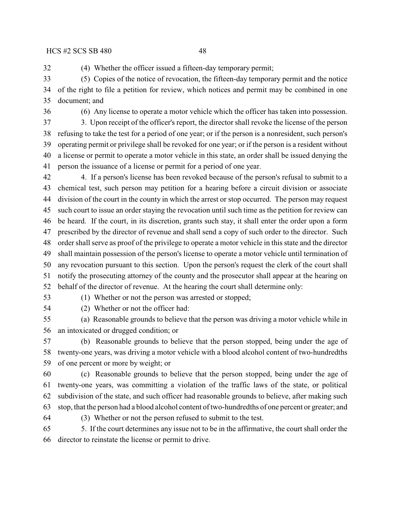(4) Whether the officer issued a fifteen-day temporary permit;

 (5) Copies of the notice of revocation, the fifteen-day temporary permit and the notice of the right to file a petition for review, which notices and permit may be combined in one document; and

(6) Any license to operate a motor vehicle which the officer has taken into possession.

 3. Upon receipt of the officer's report, the director shall revoke the license of the person refusing to take the test for a period of one year; or if the person is a nonresident, such person's operating permit or privilege shall be revoked for one year; or if the person is a resident without a license or permit to operate a motor vehicle in this state, an order shall be issued denying the person the issuance of a license or permit for a period of one year.

 4. If a person's license has been revoked because of the person's refusal to submit to a chemical test, such person may petition for a hearing before a circuit division or associate division of the court in the county in which the arrest or stop occurred. The person may request such court to issue an order staying the revocation until such time as the petition for review can be heard. If the court, in its discretion, grants such stay, it shall enter the order upon a form prescribed by the director of revenue and shall send a copy of such order to the director. Such order shall serve as proof of the privilege to operate a motor vehicle in this state and the director shall maintain possession of the person's license to operate a motor vehicle until termination of any revocation pursuant to this section. Upon the person's request the clerk of the court shall notify the prosecuting attorney of the county and the prosecutor shall appear at the hearing on behalf of the director of revenue. At the hearing the court shall determine only:

(1) Whether or not the person was arrested or stopped;

(2) Whether or not the officer had:

 (a) Reasonable grounds to believe that the person was driving a motor vehicle while in an intoxicated or drugged condition; or

 (b) Reasonable grounds to believe that the person stopped, being under the age of twenty-one years, was driving a motor vehicle with a blood alcohol content of two-hundredths of one percent or more by weight; or

 (c) Reasonable grounds to believe that the person stopped, being under the age of twenty-one years, was committing a violation of the traffic laws of the state, or political subdivision of the state, and such officer had reasonable grounds to believe, after making such stop, that the person had a blood alcohol content of two-hundredths of one percent or greater; and

(3) Whether or not the person refused to submit to the test.

 5. If the court determines any issue not to be in the affirmative, the court shall order the director to reinstate the license or permit to drive.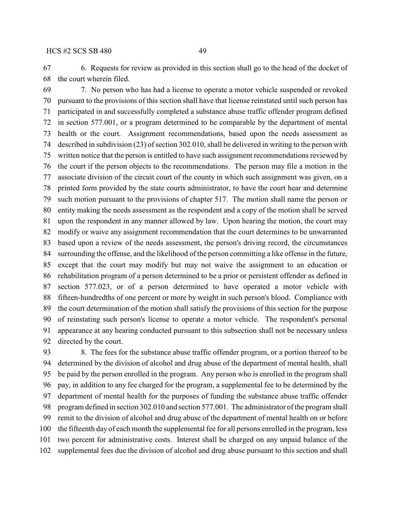6. Requests for review as provided in this section shall go to the head of the docket of the court wherein filed.

 7. No person who has had a license to operate a motor vehicle suspended or revoked pursuant to the provisions of this section shall have that license reinstated until such person has participated in and successfully completed a substance abuse traffic offender program defined in section 577.001, or a program determined to be comparable by the department of mental health or the court. Assignment recommendations, based upon the needs assessment as described in subdivision (23) of section 302.010, shall be delivered in writing to the person with written notice that the person is entitled to have such assignment recommendations reviewed by the court if the person objects to the recommendations. The person may file a motion in the associate division of the circuit court of the county in which such assignment was given, on a printed form provided by the state courts administrator, to have the court hear and determine such motion pursuant to the provisions of chapter 517. The motion shall name the person or entity making the needs assessment as the respondent and a copy of the motion shall be served upon the respondent in any manner allowed by law. Upon hearing the motion, the court may modify or waive any assignment recommendation that the court determines to be unwarranted based upon a review of the needs assessment, the person's driving record, the circumstances surrounding the offense, and the likelihood of the person committing a like offense in the future, except that the court may modify but may not waive the assignment to an education or rehabilitation program of a person determined to be a prior or persistent offender as defined in section 577.023, or of a person determined to have operated a motor vehicle with fifteen-hundredths of one percent or more by weight in such person's blood. Compliance with the court determination of the motion shall satisfy the provisions of this section for the purpose of reinstating such person's license to operate a motor vehicle. The respondent's personal appearance at any hearing conducted pursuant to this subsection shall not be necessary unless directed by the court.

 8. The fees for the substance abuse traffic offender program, or a portion thereof to be determined by the division of alcohol and drug abuse of the department of mental health, shall be paid by the person enrolled in the program. Any person who is enrolled in the program shall pay, in addition to any fee charged for the program, a supplemental fee to be determined by the department of mental health for the purposes of funding the substance abuse traffic offender program defined in section 302.010 and section 577.001. The administrator of the program shall remit to the division of alcohol and drug abuse of the department of mental health on or before the fifteenth day of each month the supplemental fee for all persons enrolled in the program, less two percent for administrative costs. Interest shall be charged on any unpaid balance of the supplemental fees due the division of alcohol and drug abuse pursuant to this section and shall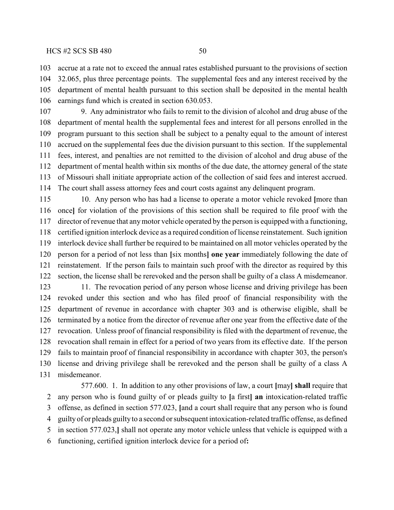### $HCS \sharp 2 \; SCS \; SB \; 480$  50

 accrue at a rate not to exceed the annual rates established pursuant to the provisions of section 32.065, plus three percentage points. The supplemental fees and any interest received by the department of mental health pursuant to this section shall be deposited in the mental health earnings fund which is created in section 630.053.

 9. Any administrator who fails to remit to the division of alcohol and drug abuse of the department of mental health the supplemental fees and interest for all persons enrolled in the program pursuant to this section shall be subject to a penalty equal to the amount of interest accrued on the supplemental fees due the division pursuant to this section. If the supplemental fees, interest, and penalties are not remitted to the division of alcohol and drug abuse of the department of mental health within six months of the due date, the attorney general of the state of Missouri shall initiate appropriate action of the collection of said fees and interest accrued. The court shall assess attorney fees and court costs against any delinquent program.

 10. Any person who has had a license to operate a motor vehicle revoked **[**more than once**]** for violation of the provisions of this section shall be required to file proof with the director of revenue that any motor vehicle operated by the person is equipped with a functioning, certified ignition interlock device as a required condition of license reinstatement. Such ignition interlock device shall further be required to be maintained on all motor vehicles operated by the person for a period of not less than **[**six months**] one year** immediately following the date of reinstatement. If the person fails to maintain such proof with the director as required by this section, the license shall be rerevoked and the person shall be guilty of a class A misdemeanor. 11. The revocation period of any person whose license and driving privilege has been

 revoked under this section and who has filed proof of financial responsibility with the department of revenue in accordance with chapter 303 and is otherwise eligible, shall be terminated by a notice from the director of revenue after one year from the effective date of the revocation. Unless proof of financial responsibility is filed with the department of revenue, the revocation shall remain in effect for a period of two years from its effective date. If the person fails to maintain proof of financial responsibility in accordance with chapter 303, the person's license and driving privilege shall be rerevoked and the person shall be guilty of a class A misdemeanor.

577.600. 1. In addition to any other provisions of law, a court **[**may**] shall** require that any person who is found guilty of or pleads guilty to **[**a first**] an** intoxication-related traffic offense, as defined in section 577.023, **[**and a court shall require that any person who is found guilty of or pleads guilty to a second or subsequent intoxication-related traffic offense, as defined in section 577.023,**]** shall not operate any motor vehicle unless that vehicle is equipped with a functioning, certified ignition interlock device for a period of**:**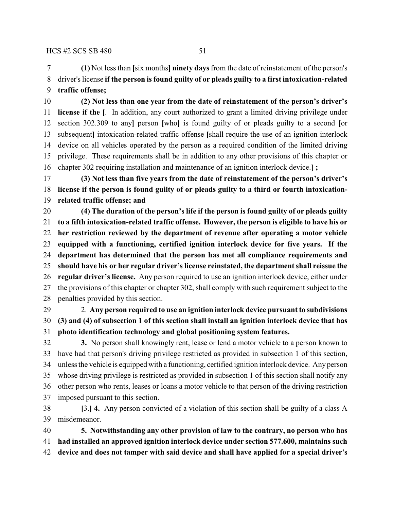**(1)** Not less than **[**six months**] ninety days** from the date of reinstatement of the person's driver's license **if the person is found guilty of or pleads guilty to a first intoxication-related traffic offense;**

 **(2) Not less than one year from the date of reinstatement of the person's driver's license if the [**. In addition, any court authorized to grant a limited driving privilege under section 302.309 to any**]** person **[**who**]** is found guilty of or pleads guilty to a second **[**or subsequent**]** intoxication-related traffic offense **[**shall require the use of an ignition interlock device on all vehicles operated by the person as a required condition of the limited driving privilege. These requirements shall be in addition to any other provisions of this chapter or chapter 302 requiring installation and maintenance of an ignition interlock device.**] ;**

 **(3) Not less than five years from the date of reinstatement of the person's driver's license if the person is found guilty of or pleads guilty to a third or fourth intoxication-related traffic offense; and**

 **(4) The duration of the person's life if the person is found guilty of or pleads guilty to a fifth intoxication-related traffic offense. However, the person is eligible to have his or her restriction reviewed by the department of revenue after operating a motor vehicle equipped with a functioning, certified ignition interlock device for five years. If the department has determined that the person has met all compliance requirements and should have his or her regular driver's license reinstated, the department shall reissue the regular driver's license.** Any person required to use an ignition interlock device, either under the provisions of this chapter or chapter 302, shall comply with such requirement subject to the penalties provided by this section.

 2. **Any person required to use an ignition interlock device pursuant to subdivisions (3) and (4) of subsection 1 of this section shall install an ignition interlock device that has photo identification technology and global positioning system features.**

 **3.** No person shall knowingly rent, lease or lend a motor vehicle to a person known to have had that person's driving privilege restricted as provided in subsection 1 of this section, unless the vehicle is equipped with a functioning, certified ignition interlock device. Any person whose driving privilege is restricted as provided in subsection 1 of this section shall notify any other person who rents, leases or loans a motor vehicle to that person of the driving restriction imposed pursuant to this section.

 **[**3.**] 4.** Any person convicted of a violation of this section shall be guilty of a class A misdemeanor.

 **5. Notwithstanding any other provision of law to the contrary, no person who has had installed an approved ignition interlock device under section 577.600, maintains such device and does not tamper with said device and shall have applied for a special driver's**